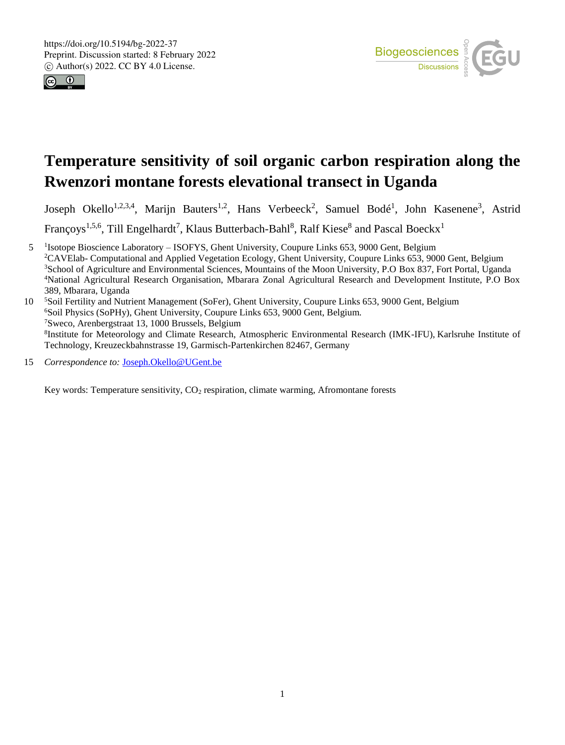



# **Temperature sensitivity of soil organic carbon respiration along the Rwenzori montane forests elevational transect in Uganda**

Joseph Okello<sup>1,2,3,4</sup>, Marijn Bauters<sup>1,2</sup>, Hans Verbeeck<sup>2</sup>, Samuel Bodé<sup>1</sup>, John Kasenene<sup>3</sup>, Astrid

Françoys<sup>1,5,6</sup>, Till Engelhardt<sup>7</sup>, Klaus Butterbach-Bahl<sup>8</sup>, Ralf Kiese<sup>8</sup> and Pascal Boeckx<sup>1</sup>

5 <sup>I</sup>Isotope Bioscience Laboratory – ISOFYS, Ghent University, Coupure Links 653, 9000 Gent, Belgium <sup>2</sup>CAVElab- Computational and Applied Vegetation Ecology, Ghent University, Coupure Links 653, 9000 Gent, Belgium <sup>3</sup>School of Agriculture and Environmental Sciences, Mountains of the Moon University, P.O Box 837, Fort Portal, Uganda <sup>4</sup>National Agricultural Research Organisation, Mbarara Zonal Agricultural Research and Development Institute, P.O Box 389, Mbarara, Uganda

<sup>5</sup> Soil Fertility and Nutrient Management (SoFer), Ghent University, Coupure Links 653, 9000 Gent, Belgium <sup>6</sup>Soil Physics (SoPHy), Ghent University, Coupure Links 653, 9000 Gent, Belgium. <sup>7</sup>Sweco, Arenbergstraat 13, 1000 Brussels, Belgium 8 Institute for Meteorology and Climate Research, Atmospheric Environmental Research (IMK-IFU), Karlsruhe Institute of Technology, Kreuzeckbahnstrasse 19, Garmisch-Partenkirchen 82467, Germany

15 *Correspondence to:* Joseph.Okello@UGent.be

Key words: Temperature sensitivity, CO<sup>2</sup> respiration, climate warming, Afromontane forests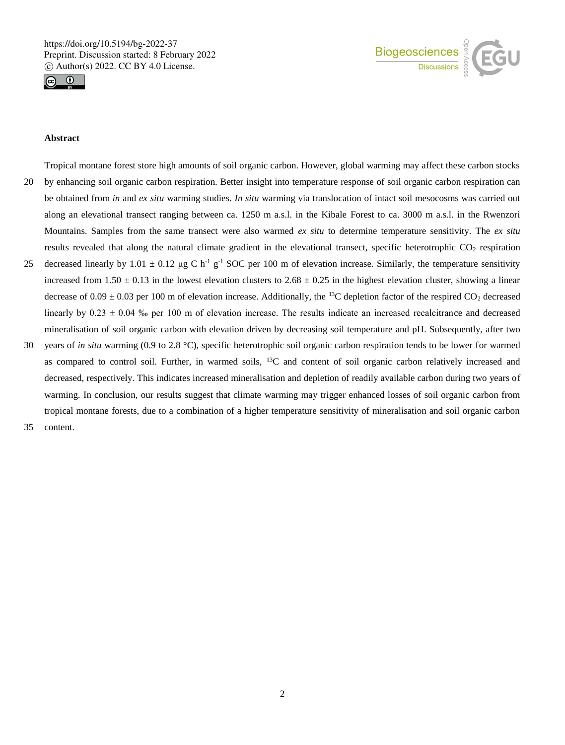



#### **Abstract**

- Tropical montane forest store high amounts of soil organic carbon. However, global warming may affect these carbon stocks 20 by enhancing soil organic carbon respiration. Better insight into temperature response of soil organic carbon respiration can be obtained from *in* and *ex situ* warming studies. *In situ* warming via translocation of intact soil mesocosms was carried out along an elevational transect ranging between ca. 1250 m a.s.l. in the Kibale Forest to ca. 3000 m a.s.l. in the Rwenzori Mountains. Samples from the same transect were also warmed *ex situ* to determine temperature sensitivity. The *ex situ* results revealed that along the natural climate gradient in the elevational transect, specific heterotrophic  $CO<sub>2</sub>$  respiration 25 decreased linearly by 1.01  $\pm$  0.12 µg C h<sup>-1</sup> g<sup>-1</sup> SOC per 100 m of elevation increase. Similarly, the temperature sensitivity
- increased from  $1.50 \pm 0.13$  in the lowest elevation clusters to  $2.68 \pm 0.25$  in the highest elevation cluster, showing a linear decrease of 0.09  $\pm$  0.03 per 100 m of elevation increase. Additionally, the <sup>13</sup>C depletion factor of the respired CO<sub>2</sub> decreased linearly by  $0.23 \pm 0.04$  % per 100 m of elevation increase. The results indicate an increased recalcitrance and decreased mineralisation of soil organic carbon with elevation driven by decreasing soil temperature and pH. Subsequently, after two
- 30 years of *in situ* warming (0.9 to 2.8 °C), specific heterotrophic soil organic carbon respiration tends to be lower for warmed as compared to control soil. Further, in warmed soils,  $^{13}C$  and content of soil organic carbon relatively increased and decreased, respectively. This indicates increased mineralisation and depletion of readily available carbon during two years of warming. In conclusion, our results suggest that climate warming may trigger enhanced losses of soil organic carbon from tropical montane forests, due to a combination of a higher temperature sensitivity of mineralisation and soil organic carbon
- 35 content.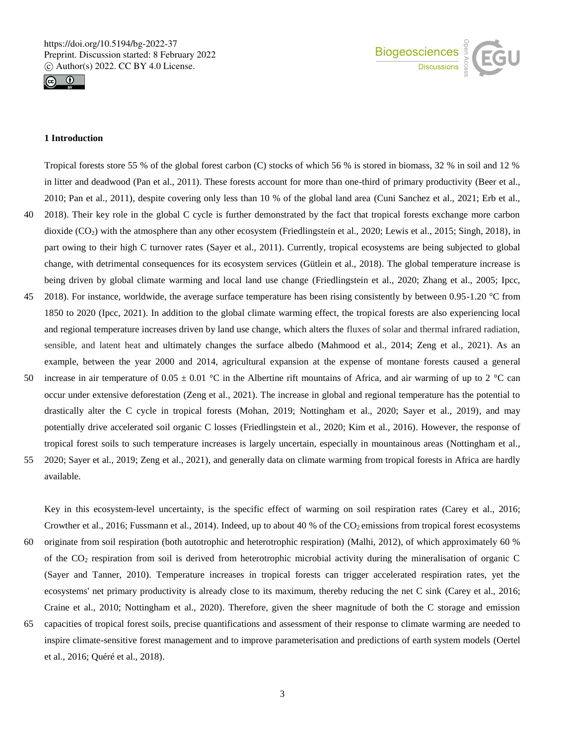



### **1 Introduction**

Tropical forests store 55 % of the global forest carbon (C) stocks of which 56 % is stored in biomass, 32 % in soil and 12 % in litter and deadwood (Pan et al., 2011). These forests account for more than one-third of primary productivity (Beer et al., 2010; Pan et al., 2011), despite covering only less than 10 % of the global land area (Cuni Sanchez et al., 2021; Erb et al., 40 2018). Their key role in the global C cycle is further demonstrated by the fact that tropical forests exchange more carbon dioxide (CO2) with the atmosphere than any other ecosystem (Friedlingstein et al., 2020; Lewis et al., 2015; Singh, 2018), in part owing to their high C turnover rates (Sayer et al., 2011). Currently, tropical ecosystems are being subjected to global change, with detrimental consequences for its ecosystem services (Gütlein et al., 2018). The global temperature increase is being driven by global climate warming and local land use change (Friedlingstein et al., 2020; Zhang et al., 2005; Ipcc, 45 2018). For instance, worldwide, the average surface temperature has been rising consistently by between 0.95-1.20 °C from 1850 to 2020 (Ipcc, 2021). In addition to the global climate warming effect, the tropical forests are also experiencing local and regional temperature increases driven by land use change, which alters the fluxes of solar and thermal infrared radiation, sensible, and latent heat and ultimately changes the surface albedo (Mahmood et al., 2014; Zeng et al., 2021). As an example, between the year 2000 and 2014, agricultural expansion at the expense of montane forests caused a general 50 increase in air temperature of  $0.05 \pm 0.01$  °C in the Albertine rift mountains of Africa, and air warming of up to 2 °C can occur under extensive deforestation (Zeng et al., 2021). The increase in global and regional temperature has the potential to drastically alter the C cycle in tropical forests (Mohan, 2019; Nottingham et al., 2020; Sayer et al., 2019), and may potentially drive accelerated soil organic C losses (Friedlingstein et al., 2020; Kim et al., 2016). However, the response of

55 2020; Sayer et al., 2019; Zeng et al., 2021), and generally data on climate warming from tropical forests in Africa are hardly available.

tropical forest soils to such temperature increases is largely uncertain, especially in mountainous areas (Nottingham et al.,

Key in this ecosystem-level uncertainty, is the specific effect of warming on soil respiration rates (Carey et al., 2016; Crowther et al., 2016; Fussmann et al., 2014). Indeed, up to about 40 % of the  $CO_2$  emissions from tropical forest ecosystems 60 originate from soil respiration (both autotrophic and heterotrophic respiration) (Malhi, 2012), of which approximately 60 % of the CO<sup>2</sup> respiration from soil is derived from heterotrophic microbial activity during the mineralisation of organic C (Sayer and Tanner, 2010). Temperature increases in tropical forests can trigger accelerated respiration rates, yet the ecosystems' net primary productivity is already close to its maximum, thereby reducing the net C sink (Carey et al., 2016; Craine et al., 2010; Nottingham et al., 2020). Therefore, given the sheer magnitude of both the C storage and emission

65 capacities of tropical forest soils, precise quantifications and assessment of their response to climate warming are needed to inspire climate-sensitive forest management and to improve parameterisation and predictions of earth system models (Oertel et al., 2016; Quéré et al., 2018).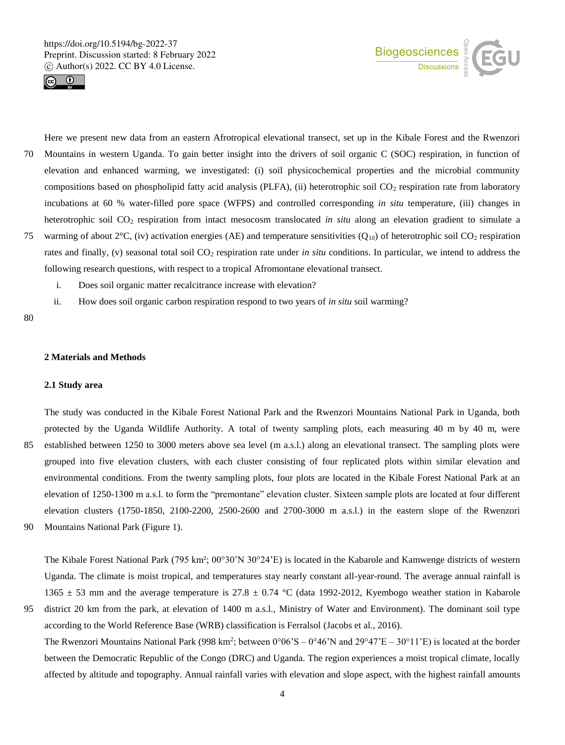



Here we present new data from an eastern Afrotropical elevational transect, set up in the Kibale Forest and the Rwenzori 70 Mountains in western Uganda. To gain better insight into the drivers of soil organic C (SOC) respiration, in function of elevation and enhanced warming, we investigated: (i) soil physicochemical properties and the microbial community compositions based on phospholipid fatty acid analysis (PLFA), (ii) heterotrophic soil  $CO<sub>2</sub>$  respiration rate from laboratory incubations at 60 % water-filled pore space (WFPS) and controlled corresponding *in situ* temperature, (iii) changes in heterotrophic soil CO<sup>2</sup> respiration from intact mesocosm translocated *in situ* along an elevation gradient to simulate a 75 warming of about 2 $\rm{°C}$ , (iv) activation energies (AE) and temperature sensitivities (Q<sub>10</sub>) of heterotrophic soil CO<sub>2</sub> respiration rates and finally, (v) seasonal total soil CO<sub>2</sub> respiration rate under *in situ* conditions. In particular, we intend to address the

following research questions, with respect to a tropical Afromontane elevational transect.

i. Does soil organic matter recalcitrance increase with elevation?

ii. How does soil organic carbon respiration respond to two years of *in situ* soil warming?

80

#### **2 Materials and Methods**

#### **2.1 Study area**

The study was conducted in the Kibale Forest National Park and the Rwenzori Mountains National Park in Uganda, both protected by the Uganda Wildlife Authority. A total of twenty sampling plots, each measuring 40 m by 40 m, were 85 established between 1250 to 3000 meters above sea level (m a.s.l.) along an elevational transect. The sampling plots were grouped into five elevation clusters, with each cluster consisting of four replicated plots within similar elevation and environmental conditions. From the twenty sampling plots, four plots are located in the Kibale Forest National Park at an elevation of 1250-1300 m a.s.l. to form the "premontane" elevation cluster. Sixteen sample plots are located at four different elevation clusters (1750-1850, 2100-2200, 2500-2600 and 2700-3000 m a.s.l.) in the eastern slope of the Rwenzori 90 Mountains National Park (Figure 1).

The Kibale Forest National Park (795 km²; 00°30'N 30°24'E) is located in the Kabarole and Kamwenge districts of western Uganda. The climate is moist tropical, and temperatures stay nearly constant all-year-round. The average annual rainfall is 1365  $\pm$  53 mm and the average temperature is 27.8  $\pm$  0.74 °C (data 1992-2012, Kyembogo weather station in Kabarole

95 district 20 km from the park, at elevation of 1400 m a.s.l., Ministry of Water and Environment). The dominant soil type according to the World Reference Base (WRB) classification is Ferralsol (Jacobs et al., 2016). The Rwenzori Mountains National Park (998 km<sup>2</sup>; between  $0^{\circ}06$ 'S –  $0^{\circ}46$ 'N and  $29^{\circ}47$ 'E –  $30^{\circ}11$ 'E) is located at the border between the Democratic Republic of the Congo (DRC) and Uganda. The region experiences a moist tropical climate, locally affected by altitude and topography. Annual rainfall varies with elevation and slope aspect, with the highest rainfall amounts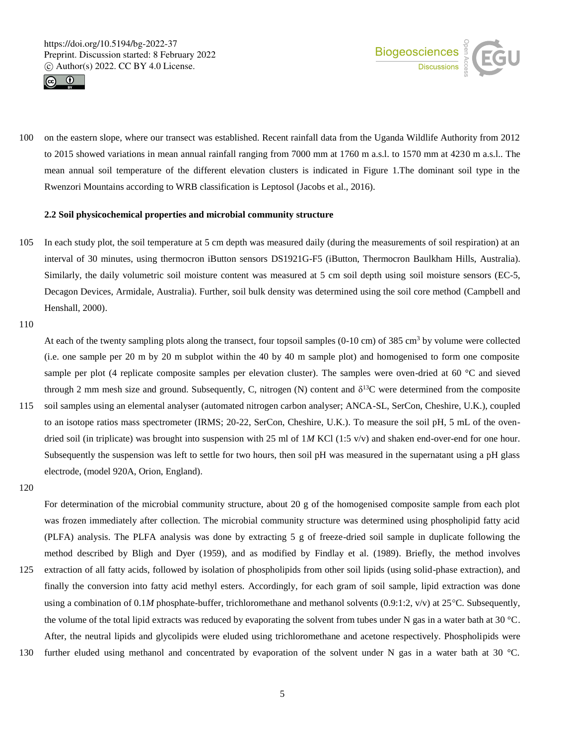



100 on the eastern slope, where our transect was established. Recent rainfall data from the Uganda Wildlife Authority from 2012 to 2015 showed variations in mean annual rainfall ranging from 7000 mm at 1760 m a.s.l. to 1570 mm at 4230 m a.s.l.. The mean annual soil temperature of the different elevation clusters is indicated in Figure 1.The dominant soil type in the Rwenzori Mountains according to WRB classification is Leptosol (Jacobs et al., 2016).

## **2.2 Soil physicochemical properties and microbial community structure**

105 In each study plot, the soil temperature at 5 cm depth was measured daily (during the measurements of soil respiration) at an interval of 30 minutes, using thermocron iButton sensors DS1921G-F5 (iButton, Thermocron Baulkham Hills, Australia). Similarly, the daily volumetric soil moisture content was measured at 5 cm soil depth using soil moisture sensors (EC-5, Decagon Devices, Armidale, Australia). Further, soil bulk density was determined using the soil core method (Campbell and Henshall, 2000).

110

At each of the twenty sampling plots along the transect, four topsoil samples  $(0-10 \text{ cm})$  of 385 cm<sup>3</sup> by volume were collected (i.e. one sample per 20 m by 20 m subplot within the 40 by 40 m sample plot) and homogenised to form one composite sample per plot (4 replicate composite samples per elevation cluster). The samples were oven-dried at 60 °C and sieved through 2 mm mesh size and ground. Subsequently, C, nitrogen (N) content and  $\delta^{13}C$  were determined from the composite 115 soil samples using an elemental analyser (automated nitrogen carbon analyser; ANCA-SL, SerCon, Cheshire, U.K.), coupled to an isotope ratios mass spectrometer (IRMS; 20-22, SerCon, Cheshire, U.K.). To measure the soil pH, 5 mL of the oven-

- dried soil (in triplicate) was brought into suspension with 25 ml of 1*M* KCl (1:5 v/v) and shaken end-over-end for one hour. Subsequently the suspension was left to settle for two hours, then soil pH was measured in the supernatant using a pH glass electrode, (model 920A, Orion, England).
- 120

For determination of the microbial community structure, about 20 g of the homogenised composite sample from each plot was frozen immediately after collection. The microbial community structure was determined using phospholipid fatty acid (PLFA) analysis. The PLFA analysis was done by extracting 5 g of freeze-dried soil sample in duplicate following the method described by Bligh and Dyer (1959), and as modified by Findlay et al. (1989). Briefly, the method involves

- 125 extraction of all fatty acids, followed by isolation of phospholipids from other soil lipids (using solid-phase extraction), and finally the conversion into fatty acid methyl esters. Accordingly, for each gram of soil sample, lipid extraction was done using a combination of 0.1*M* phosphate-buffer, trichloromethane and methanol solvents (0.9:1:2, v/v) at 25°C. Subsequently, the volume of the total lipid extracts was reduced by evaporating the solvent from tubes under N gas in a water bath at 30 °C. After, the neutral lipids and glycolipids were eluded using trichloromethane and acetone respectively. Phospholipids were
- 130 further eluded using methanol and concentrated by evaporation of the solvent under N gas in a water bath at 30 °C.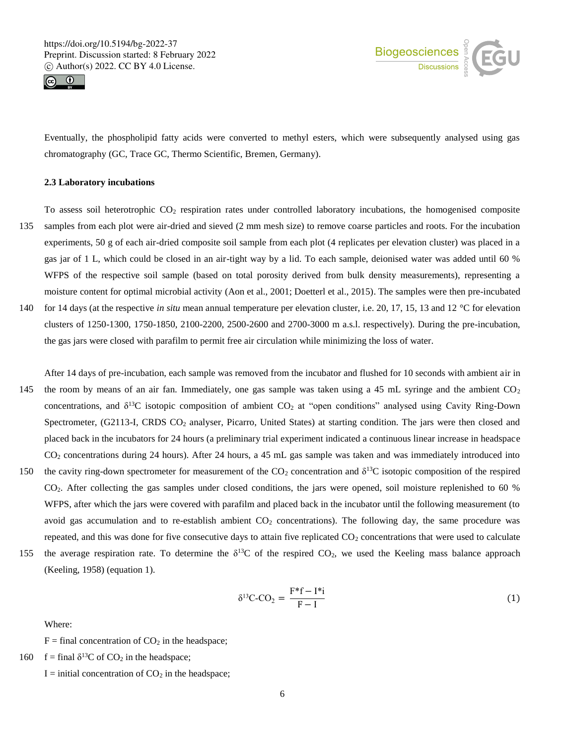



Eventually, the phospholipid fatty acids were converted to methyl esters, which were subsequently analysed using gas chromatography (GC, Trace GC, Thermo Scientific, Bremen, Germany).

#### **2.3 Laboratory incubations**

To assess soil heterotrophic  $CO<sub>2</sub>$  respiration rates under controlled laboratory incubations, the homogenised composite 135 samples from each plot were air-dried and sieved (2 mm mesh size) to remove coarse particles and roots. For the incubation experiments, 50 g of each air-dried composite soil sample from each plot (4 replicates per elevation cluster) was placed in a gas jar of 1 L, which could be closed in an air-tight way by a lid. To each sample, deionised water was added until 60 % WFPS of the respective soil sample (based on total porosity derived from bulk density measurements), representing a moisture content for optimal microbial activity (Aon et al., 2001; Doetterl et al., 2015). The samples were then pre-incubated 140 for 14 days (at the respective *in situ* mean annual temperature per elevation cluster, i.e. 20, 17, 15, 13 and 12 °C for elevation clusters of 1250-1300, 1750-1850, 2100-2200, 2500-2600 and 2700-3000 m a.s.l. respectively). During the pre-incubation, the gas jars were closed with parafilm to permit free air circulation while minimizing the loss of water.

After 14 days of pre-incubation, each sample was removed from the incubator and flushed for 10 seconds with ambient air in 145 the room by means of an air fan. Immediately, one gas sample was taken using a 45 mL syringe and the ambient  $CO<sub>2</sub>$ concentrations, and  $\delta^{13}C$  isotopic composition of ambient CO<sub>2</sub> at "open conditions" analysed using Cavity Ring-Down Spectrometer, (G2113-I, CRDS CO<sub>2</sub> analyser, Picarro, United States) at starting condition. The jars were then closed and placed back in the incubators for 24 hours (a preliminary trial experiment indicated a continuous linear increase in headspace CO<sup>2</sup> concentrations during 24 hours). After 24 hours, a 45 mL gas sample was taken and was immediately introduced into 150 the cavity ring-down spectrometer for measurement of the  $CO<sub>2</sub>$  concentration and  $\delta^{13}C$  isotopic composition of the respired

- CO2. After collecting the gas samples under closed conditions, the jars were opened, soil moisture replenished to 60 % WFPS, after which the jars were covered with parafilm and placed back in the incubator until the following measurement (to avoid gas accumulation and to re-establish ambient  $CO<sub>2</sub>$  concentrations). The following day, the same procedure was repeated, and this was done for five consecutive days to attain five replicated  $CO<sub>2</sub>$  concentrations that were used to calculate
- 155 the average respiration rate. To determine the  $\delta^{13}C$  of the respired CO<sub>2</sub>, we used the Keeling mass balance approach (Keeling, 1958) (equation 1).

$$
\delta^{13}C-CO_2 = \frac{F^*f - I^*i}{F - I}
$$
 (1)

Where:

 $F =$  final concentration of  $CO<sub>2</sub>$  in the headspace;

- 160  $f = \text{final } \delta^{13}C$  of  $CO_2$  in the headspace;
	- $I =$  initial concentration of  $CO<sub>2</sub>$  in the headspace;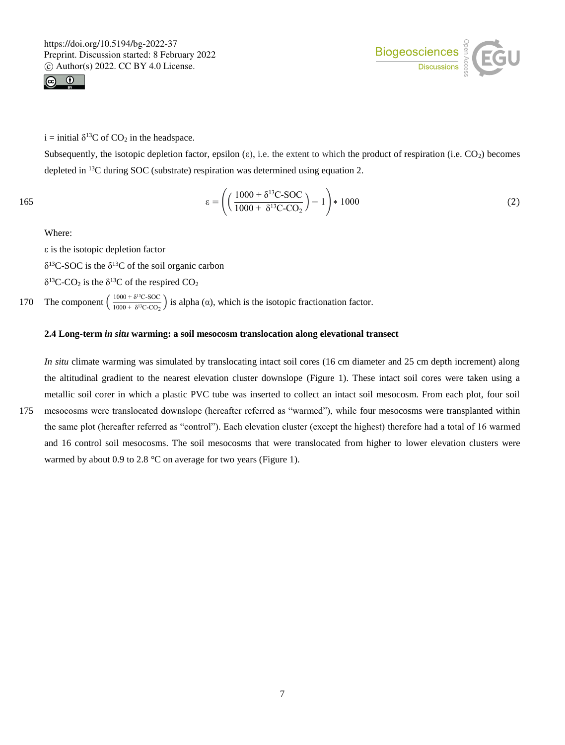



i = initial  $\delta^{13}$ C of CO<sub>2</sub> in the headspace.

Subsequently, the isotopic depletion factor, epsilon  $(\epsilon)$ , i.e. the extent to which the product of respiration (i.e.  $CO<sub>2</sub>$ ) becomes depleted in <sup>13</sup>C during SOC (substrate) respiration was determined using equation 2.

165 
$$
\epsilon = \left( \left( \frac{1000 + \delta^{13}C\text{-}SOC}{1000 + \delta^{13}C\text{-}CO_2} \right) - 1 \right) * 1000
$$
 (2)

Where:

ε is the isotopic depletion factor

 $\delta^{13}$ C-SOC is the  $\delta^{13}$ C of the soil organic carbon

 $\delta^{13}$ C-CO<sub>2</sub> is the  $\delta^{13}$ C of the respired CO<sub>2</sub>

The component  $\left(\frac{1000 + \delta^{13}C\text{-}SOC}{1000 + \delta^{13}C\text{-}CO}\right)$ 170 The component  $\left(\frac{1000 + 8}{1000 + 8^{13}C\cdot\text{CO}_2}\right)$  is alpha ( $\alpha$ ), which is the isotopic fractionation factor.

#### **2.4 Long-term** *in situ* **warming: a soil mesocosm translocation along elevational transect**

*In situ* climate warming was simulated by translocating intact soil cores (16 cm diameter and 25 cm depth increment) along the altitudinal gradient to the nearest elevation cluster downslope (Figure 1). These intact soil cores were taken using a metallic soil corer in which a plastic PVC tube was inserted to collect an intact soil mesocosm. From each plot, four soil

175 mesocosms were translocated downslope (hereafter referred as "warmed"), while four mesocosms were transplanted within the same plot (hereafter referred as "control"). Each elevation cluster (except the highest) therefore had a total of 16 warmed and 16 control soil mesocosms. The soil mesocosms that were translocated from higher to lower elevation clusters were warmed by about 0.9 to 2.8 °C on average for two years (Figure 1).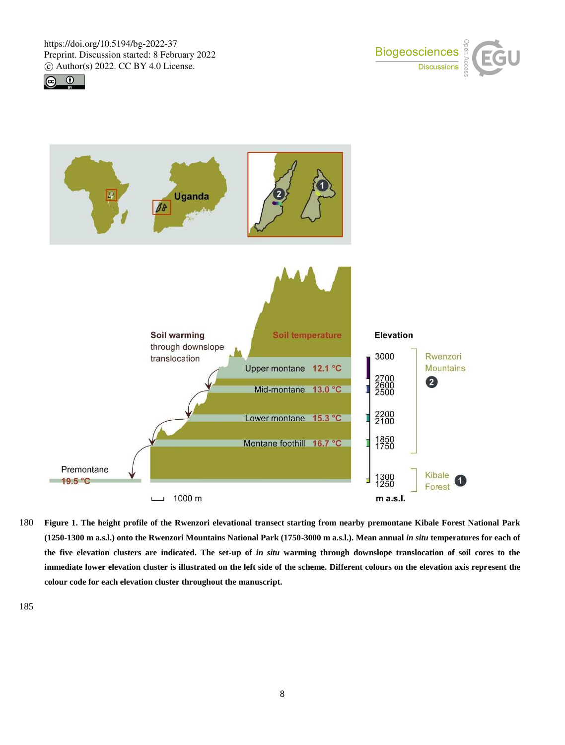





180 **Figure 1. The height profile of the Rwenzori elevational transect starting from nearby premontane Kibale Forest National Park (1250-1300 m a.s.l.) onto the Rwenzori Mountains National Park (1750-3000 m a.s.l.). Mean annual** *in situ* **temperatures for each of the five elevation clusters are indicated. The set-up of** *in situ* **warming through downslope translocation of soil cores to the immediate lower elevation cluster is illustrated on the left side of the scheme. Different colours on the elevation axis represent the colour code for each elevation cluster throughout the manuscript.**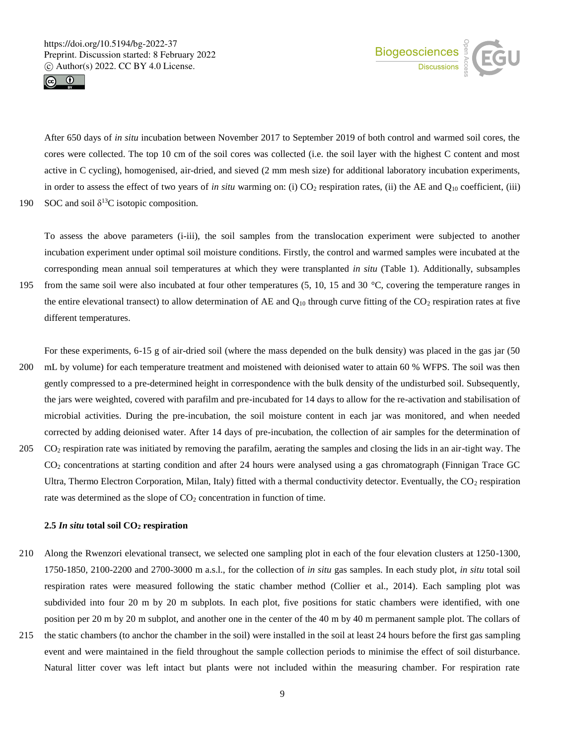



After 650 days of *in situ* incubation between November 2017 to September 2019 of both control and warmed soil cores, the cores were collected. The top 10 cm of the soil cores was collected (i.e. the soil layer with the highest C content and most active in C cycling), homogenised, air-dried, and sieved (2 mm mesh size) for additional laboratory incubation experiments, in order to assess the effect of two years of *in situ* warming on: (i) CO<sub>2</sub> respiration rates, (ii) the AE and Q<sub>10</sub> coefficient, (iii)

190 SOC and soil  $\delta^{13}$ C isotopic composition.

To assess the above parameters (i-iii), the soil samples from the translocation experiment were subjected to another incubation experiment under optimal soil moisture conditions. Firstly, the control and warmed samples were incubated at the corresponding mean annual soil temperatures at which they were transplanted *in situ* (Table 1). Additionally, subsamples 195 from the same soil were also incubated at four other temperatures (5, 10, 15 and 30 °C, covering the temperature ranges in the entire elevational transect) to allow determination of AE and  $Q_{10}$  through curve fitting of the CO<sub>2</sub> respiration rates at five

different temperatures.

For these experiments, 6-15 g of air-dried soil (where the mass depended on the bulk density) was placed in the gas jar (50

- 200 mL by volume) for each temperature treatment and moistened with deionised water to attain 60 % WFPS. The soil was then gently compressed to a pre-determined height in correspondence with the bulk density of the undisturbed soil. Subsequently, the jars were weighted, covered with parafilm and pre-incubated for 14 days to allow for the re-activation and stabilisation of microbial activities. During the pre-incubation, the soil moisture content in each jar was monitored, and when needed corrected by adding deionised water. After 14 days of pre-incubation, the collection of air samples for the determination of
- 205 CO<sup>2</sup> respiration rate was initiated by removing the parafilm, aerating the samples and closing the lids in an air-tight way. The CO<sup>2</sup> concentrations at starting condition and after 24 hours were analysed using a gas chromatograph (Finnigan Trace GC Ultra, Thermo Electron Corporation, Milan, Italy) fitted with a thermal conductivity detector. Eventually, the  $CO<sub>2</sub>$  respiration rate was determined as the slope of  $CO<sub>2</sub>$  concentration in function of time.

#### **2.5** *In situ* **total soil CO<sup>2</sup> respiration**

- 210 Along the Rwenzori elevational transect, we selected one sampling plot in each of the four elevation clusters at 1250-1300, 1750-1850, 2100-2200 and 2700-3000 m a.s.l., for the collection of *in situ* gas samples. In each study plot, *in situ* total soil respiration rates were measured following the static chamber method (Collier et al., 2014). Each sampling plot was subdivided into four 20 m by 20 m subplots. In each plot, five positions for static chambers were identified, with one position per 20 m by 20 m subplot, and another one in the center of the 40 m by 40 m permanent sample plot. The collars of
- 215 the static chambers (to anchor the chamber in the soil) were installed in the soil at least 24 hours before the first gas sampling event and were maintained in the field throughout the sample collection periods to minimise the effect of soil disturbance. Natural litter cover was left intact but plants were not included within the measuring chamber. For respiration rate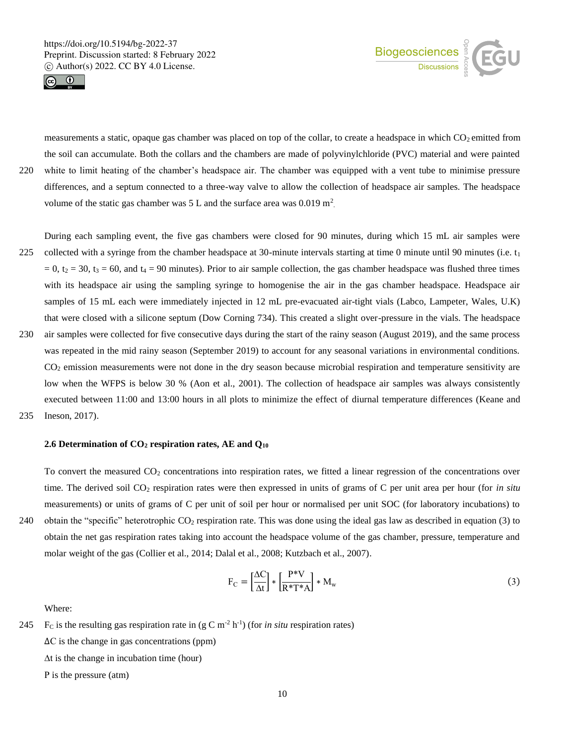



measurements a static, opaque gas chamber was placed on top of the collar, to create a headspace in which  $CO<sub>2</sub>$  emitted from the soil can accumulate. Both the collars and the chambers are made of polyvinylchloride (PVC) material and were painted 220 white to limit heating of the chamber's headspace air. The chamber was equipped with a vent tube to minimise pressure differences, and a septum connected to a three-way valve to allow the collection of headspace air samples. The headspace volume of the static gas chamber was  $5 L$  and the surface area was  $0.019 \text{ m}^2$ .

During each sampling event, the five gas chambers were closed for 90 minutes, during which 15 mL air samples were 225 collected with a syringe from the chamber headspace at 30-minute intervals starting at time 0 minute until 90 minutes (i.e.  $t_1$  $= 0$ ,  $t_2 = 30$ ,  $t_3 = 60$ , and  $t_4 = 90$  minutes). Prior to air sample collection, the gas chamber headspace was flushed three times with its headspace air using the sampling syringe to homogenise the air in the gas chamber headspace. Headspace air samples of 15 mL each were immediately injected in 12 mL pre-evacuated air-tight vials (Labco, Lampeter, Wales, U.K) that were closed with a silicone septum (Dow Corning 734). This created a slight over-pressure in the vials. The headspace

- 230 air samples were collected for five consecutive days during the start of the rainy season (August 2019), and the same process was repeated in the mid rainy season (September 2019) to account for any seasonal variations in environmental conditions.  $CO<sub>2</sub>$  emission measurements were not done in the dry season because microbial respiration and temperature sensitivity are low when the WFPS is below 30 % (Aon et al., 2001). The collection of headspace air samples was always consistently executed between 11:00 and 13:00 hours in all plots to minimize the effect of diurnal temperature differences (Keane and
- 235 Ineson, 2017).

#### **2.6 Determination of CO<sup>2</sup> respiration rates, AE and Q<sup>10</sup>**

To convert the measured CO<sup>2</sup> concentrations into respiration rates, we fitted a linear regression of the concentrations over time. The derived soil CO<sub>2</sub> respiration rates were then expressed in units of grams of C per unit area per hour (for *in situ* measurements) or units of grams of C per unit of soil per hour or normalised per unit SOC (for laboratory incubations) to 240 obtain the "specific" heterotrophic  $CO<sub>2</sub>$  respiration rate. This was done using the ideal gas law as described in equation (3) to obtain the net gas respiration rates taking into account the headspace volume of the gas chamber, pressure, temperature and molar weight of the gas (Collier et al., 2014; Dalal et al., 2008; Kutzbach et al., 2007).

$$
F_C = \left[\frac{\Delta C}{\Delta t}\right] * \left[\frac{P^* V}{R^* T^* A}\right] * M_w \tag{3}
$$

Where:

245 F<sub>C</sub> is the resulting gas respiration rate in  $(g C m<sup>-2</sup> h<sup>-1</sup>)$  (for *in situ* respiration rates) ∆C is the change in gas concentrations (ppm) ∆t is the change in incubation time (hour) P is the pressure (atm)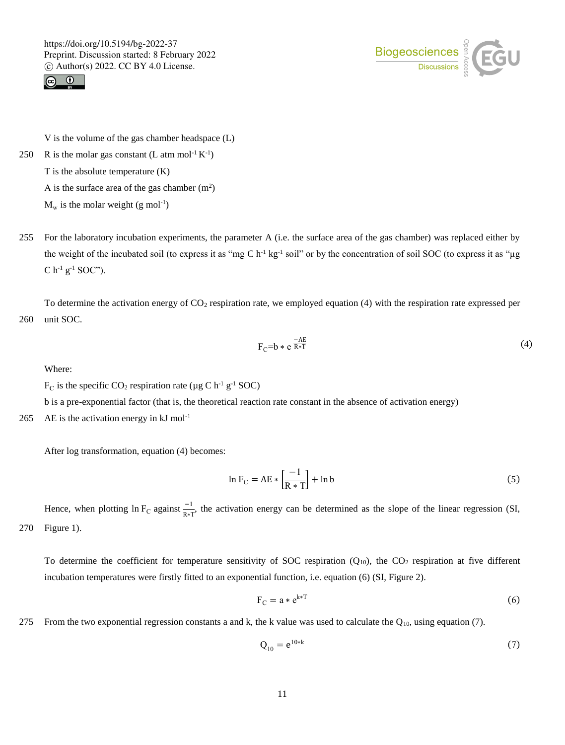



V is the volume of the gas chamber headspace (L)

250 R is the molar gas constant (L atm mol<sup>-1</sup>  $K^{-1}$ )

T is the absolute temperature (K)

A is the surface area of the gas chamber  $(m<sup>2</sup>)$ 

 $M_w$  is the molar weight (g mol<sup>-1</sup>)

255 For the laboratory incubation experiments, the parameter A (i.e. the surface area of the gas chamber) was replaced either by the weight of the incubated soil (to express it as "mg C  $h^{-1}$  kg<sup>-1</sup> soil" or by the concentration of soil SOC (to express it as "µg  $C$  h<sup>-1</sup> g<sup>-1</sup> SOC").

To determine the activation energy of  $CO<sub>2</sub>$  respiration rate, we employed equation (4) with the respiration rate expressed per 260 unit SOC.

$$
F_C = b * e^{\frac{-AE}{R*T}}
$$
 (4)

Where:

 $F_C$  is the specific CO<sub>2</sub> respiration rate (µg C h<sup>-1</sup> g<sup>-1</sup> SOC)

b is a pre-exponential factor (that is, the theoretical reaction rate constant in the absence of activation energy)

265 AE is the activation energy in  $kJ \text{ mol}^{-1}$ 

After log transformation, equation (4) becomes:

$$
\ln F_C = AE * \left[\frac{-1}{R*T}\right] + \ln b \tag{5}
$$

Hence, when plotting ln F<sub>C</sub> against  $\frac{-1}{R*T}$ , the activation energy can be determined as the slope of the linear regression (SI, 270 Figure 1).

To determine the coefficient for temperature sensitivity of SOC respiration ( $Q_{10}$ ), the CO<sub>2</sub> respiration at five different incubation temperatures were firstly fitted to an exponential function, i.e. equation (6) (SI, Figure 2).

$$
F_C = a * e^{k*T}
$$
 (6)

275 From the two exponential regression constants a and k, the k value was used to calculate the  $Q_{10}$ , using equation (7).

$$
Q_{10} = e^{10*k} \tag{7}
$$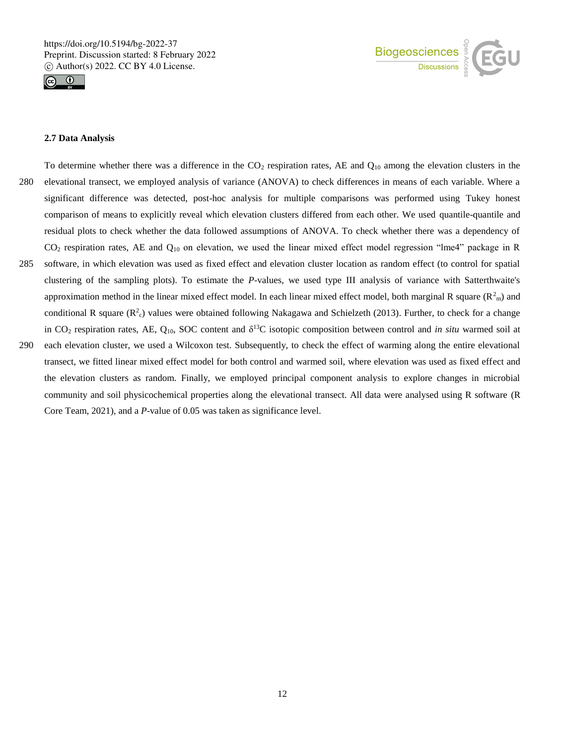



#### **2.7 Data Analysis**

To determine whether there was a difference in the  $CO<sub>2</sub>$  respiration rates, AE and  $Q<sub>10</sub>$  among the elevation clusters in the 280 elevational transect, we employed analysis of variance (ANOVA) to check differences in means of each variable. Where a significant difference was detected, post-hoc analysis for multiple comparisons was performed using Tukey honest comparison of means to explicitly reveal which elevation clusters differed from each other. We used quantile-quantile and residual plots to check whether the data followed assumptions of ANOVA. To check whether there was a dependency of  $CO<sub>2</sub>$  respiration rates, AE and  $Q<sub>10</sub>$  on elevation, we used the linear mixed effect model regression "lme4" package in R 285 software, in which elevation was used as fixed effect and elevation cluster location as random effect (to control for spatial clustering of the sampling plots). To estimate the *P*-values, we used type III analysis of variance with Satterthwaite's approximation method in the linear mixed effect model. In each linear mixed effect model, both marginal R square  $(R<sup>2</sup><sub>m</sub>)$  and conditional R square  $(R^2_c)$  values were obtained following Nakagawa and Schielzeth (2013). Further, to check for a change in CO<sub>2</sub> respiration rates, AE, Q<sub>10</sub>, SOC content and  $\delta^{13}$ C isotopic composition between control and *in situ* warmed soil at 290 each elevation cluster, we used a Wilcoxon test. Subsequently, to check the effect of warming along the entire elevational transect, we fitted linear mixed effect model for both control and warmed soil, where elevation was used as fixed effect and the elevation clusters as random. Finally, we employed principal component analysis to explore changes in microbial community and soil physicochemical properties along the elevational transect. All data were analysed using R software (R

Core Team, 2021), and a *P*-value of 0.05 was taken as significance level.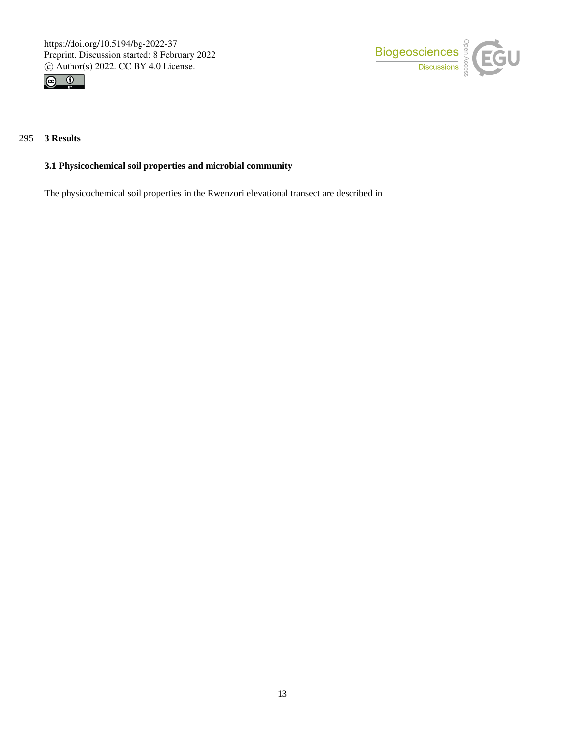



# 295 **3 Results**

# **3.1 Physicochemical soil properties and microbial community**

The physicochemical soil properties in the Rwenzori elevational transect are described in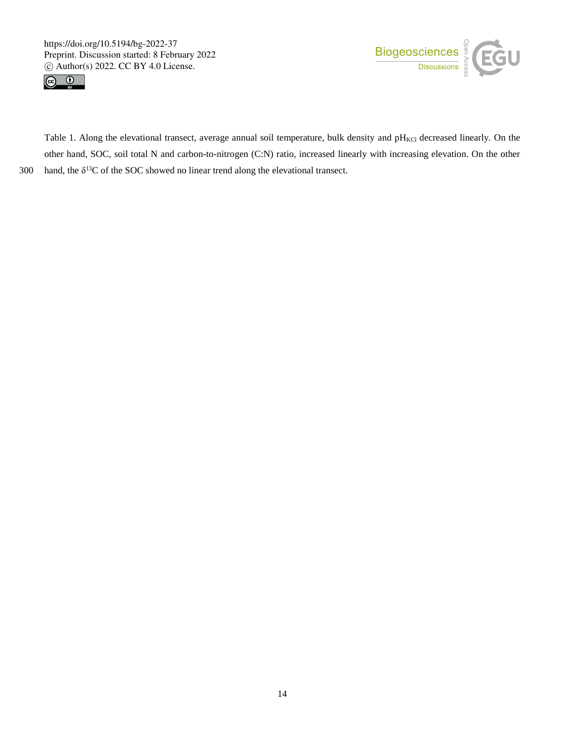



Table 1. Along the elevational transect, average annual soil temperature, bulk density and pH<sub>KCl</sub> decreased linearly. On the other hand, SOC, soil total N and carbon-to-nitrogen (C:N) ratio, increased linearly with increasing elevation. On the other 300 hand, the  $\delta^{13}$ C of the SOC showed no linear trend along the elevational transect.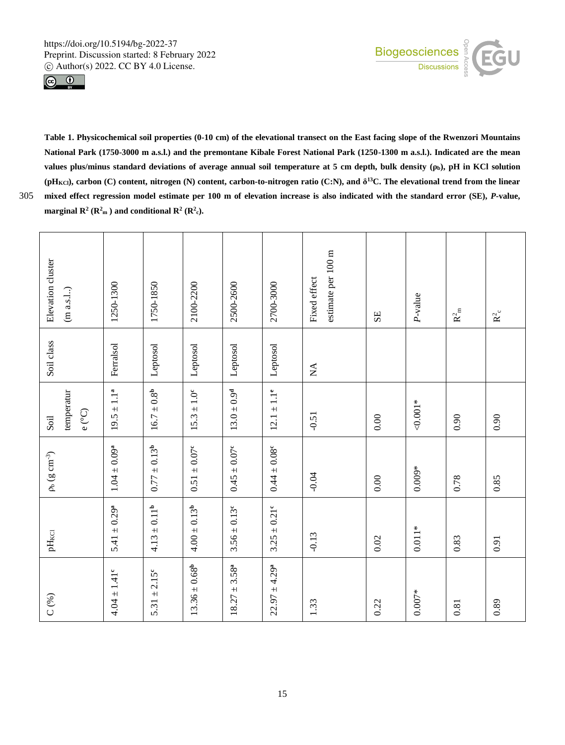



**Table 1. Physicochemical soil properties (0-10 cm) of the elevational transect on the East facing slope of the Rwenzori Mountains National Park (1750-3000 m a.s.l.) and the premontane Kibale Forest National Park (1250-1300 m a.s.l.). Indicated are the mean values plus/minus standard deviations of average annual soil temperature at 5 cm depth, bulk density (ρb), pH in KCl solution** (pH<sub>KCl</sub>), carbon (C) content, nitrogen (N) content, carbon-to-nitrogen ratio (C:N), and  $\delta^{13}$ C. The elevational trend from the linear 305 **mixed effect regression model estimate per 100 m of elevation increase is also indicated with the standard error (SE),** *P***-value, marginal**  $\mathbb{R}^2$  **(** $\mathbb{R}^2$ **<sub>m</sub>**) and conditional  $\mathbb{R}^2$  ( $\mathbb{R}^2$ <sub>c</sub>).

| C(%)                         | $pH_{\rm KCl}$               | $\rho_{b}$ (g $\rm cm^{-3})$ | temperatur<br>Soil  | Soil class                     | Elevation cluster<br>(m a.s.l.)    |
|------------------------------|------------------------------|------------------------------|---------------------|--------------------------------|------------------------------------|
|                              |                              |                              | $e\, (^\circ\rm C)$ |                                |                                    |
| $4.04 \pm 1.41$ <sup>c</sup> | $5.41 \pm 0.29^a$            | $1.04 \pm 0.09^{a}$          | $19.5 \pm 1.1^{a}$  | Ferralsol                      | 1250-1300                          |
| $5.31 \pm 2.15^{\circ}$      | $4.13 \pm 0.11^{\rm b}$      | $0.77 \pm 0.13^{b}$          | $16.7 \pm 0.8^{b}$  | Leptosol                       | 1750-1850                          |
| $13.36 \pm 0.68^{\rm b}$     | $4.00 \pm 0.13^{b}$          | $0.51\pm0.07^{\rm c}$        | $15.3 \pm 1.0^c$    | Leptosol                       | 2100-2200                          |
| $18.27 \pm 3.58^a$           | $3.56 \pm 0.13$ <sup>c</sup> | $0.45 \pm 0.07$ <sup>c</sup> | $13.0 \pm 0.9^d$    | Leptosol                       | 2500-2600                          |
| $22.97 \pm 4.29^a$           | $3.25 \pm 0.21$ <sup>c</sup> | $0.44 \pm 0.08$ <sup>c</sup> | $12.1 \pm 1.1^e$    | Leptosol                       | 2700-3000                          |
| 1.33                         | $-0.13$                      | $-0.04$                      | $-0.51$             | $\mathop{\mathsf{X}}\nolimits$ | estimate per 100 m<br>Fixed effect |
| 0.22                         | $0.02\,$                     | 0.00                         | 0.00                |                                | SE                                 |
| $0.007*$                     | $0.011*$                     | $0.009*$                     | $0.001*$            |                                | P-value                            |
| $\!0.81$                     | 0.83                         | 0.78                         | 0.90                |                                | $\mathbf{R}_{\ \rm m}^2$           |
| 0.89                         | 0.91                         | 0.85                         | 0.90                |                                | $\mathbf{R}^2_{\rm c}$             |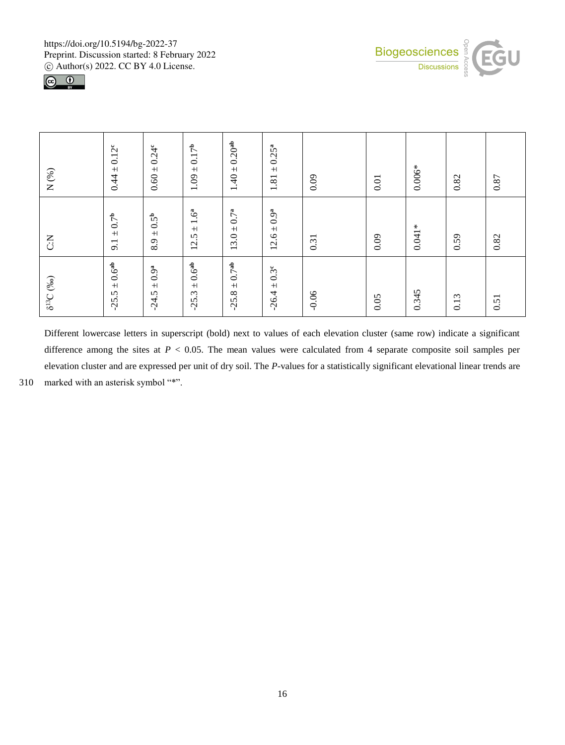



| $\delta^{13}C$ (%o)                | $\sum_{i=1}^{n}$              | $\rm N$ (%)                   |
|------------------------------------|-------------------------------|-------------------------------|
| $\pm$ 0.6 <sup>ab</sup><br>$-25.5$ | $\pm$ 0.7 <sup>b</sup><br>9.1 | $0.44 \pm 0.12^{\circ}$       |
| $\pm$ 0.9ª<br>$-24.5$              | $\pm$ 0.5 <sup>b</sup><br>8.9 | $0.60 \pm 0.24^{\circ}$       |
| $\pm$ 0.6 <sup>ab</sup><br>$-25.3$ | ±1.6 <sup>a</sup><br>12.5     | $1.09 \pm 0.17^{p}$           |
| $-25.8 \pm 0.7$ <sup>ab</sup>      | $13.0 \pm 0.7^a$              | $1.40 \pm 0.20$ <sup>ab</sup> |
| $-26.4 \pm 0.3^{\circ}$            | $12.6 \pm 0.9^a$              | $10.25^{a}$<br>1.81           |
| $-0.06$                            | 0.31                          | 0.09                          |
| 0.05                               | 0.09                          | 0.01                          |
| 0.345                              | $0.041*$                      | $0.006*$                      |
| 0.13                               | 0.59                          | 0.82                          |
| 0.51                               | 0.82                          | $0.87\,$                      |

Different lowercase letters in superscript (bold) next to values of each elevation cluster (same row) indicate a significant difference among the sites at *P* < 0.05. The mean values were calculated from 4 separate composite soil samples per elevation cluster and are expressed per unit of dry soil. The *P-*values for a statistically significant elevational linear trends are 310 marked with an asterisk symbol "\*".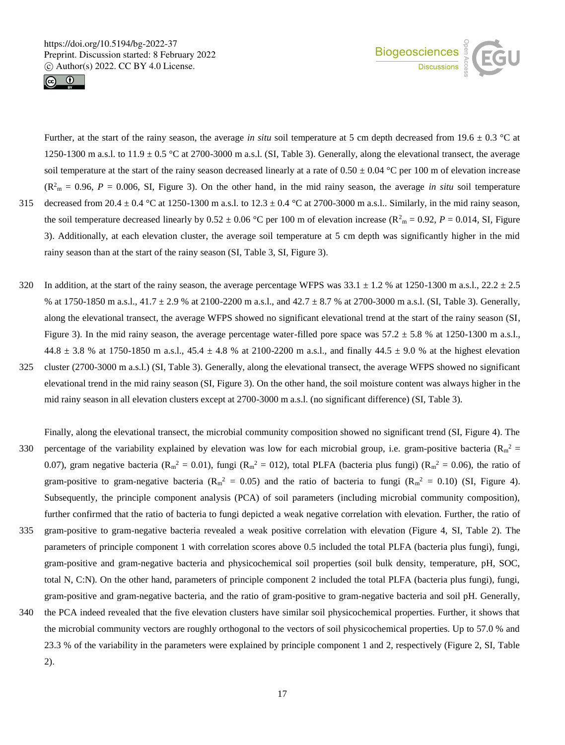



Further, at the start of the rainy season, the average *in situ* soil temperature at 5 cm depth decreased from 19.6  $\pm$  0.3 °C at 1250-1300 m a.s.l. to  $11.9 \pm 0.5$  °C at 2700-3000 m a.s.l. (SI, Table 3). Generally, along the elevational transect, the average soil temperature at the start of the rainy season decreased linearly at a rate of  $0.50 \pm 0.04$  °C per 100 m of elevation increase  $(R<sup>2</sup><sub>m</sub> = 0.96, P = 0.006, SI, Figure 3)$ . On the other hand, in the mid rainy season, the average *in situ* soil temperature 315 decreased from 20.4  $\pm$  0.4 °C at 1250-1300 m a.s.l. to 12.3  $\pm$  0.4 °C at 2700-3000 m a.s.l.. Similarly, in the mid rainy season, the soil temperature decreased linearly by  $0.52 \pm 0.06$  °C per 100 m of elevation increase ( $R_{m}^{2} = 0.92$ ,  $P = 0.014$ , SI, Figure 3). Additionally, at each elevation cluster, the average soil temperature at 5 cm depth was significantly higher in the mid rainy season than at the start of the rainy season (SI, Table 3, SI, Figure 3).

- 320 In addition, at the start of the rainy season, the average percentage WFPS was  $33.1 \pm 1.2$  % at 1250-1300 m a.s.l.,  $22.2 \pm 2.5$ % at 1750-1850 m a.s.l., 41.7 ± 2.9 % at 2100-2200 m a.s.l., and 42.7 ± 8.7 % at 2700-3000 m a.s.l. (SI, Table 3). Generally, along the elevational transect, the average WFPS showed no significant elevational trend at the start of the rainy season (SI, Figure 3). In the mid rainy season, the average percentage water-filled pore space was  $57.2 \pm 5.8$  % at  $1250-1300$  m a.s.l.,  $44.8 \pm 3.8$  % at 1750-1850 m a.s.l.,  $45.4 \pm 4.8$  % at 2100-2200 m a.s.l., and finally  $44.5 \pm 9.0$  % at the highest elevation
- 325 cluster (2700-3000 m a.s.l.) (SI, Table 3). Generally, along the elevational transect, the average WFPS showed no significant elevational trend in the mid rainy season (SI, Figure 3). On the other hand, the soil moisture content was always higher in the mid rainy season in all elevation clusters except at 2700-3000 m a.s.l. (no significant difference) (SI, Table 3).
- Finally, along the elevational transect, the microbial community composition showed no significant trend (SI, Figure 4). The 330 percentage of the variability explained by elevation was low for each microbial group, i.e. gram-positive bacteria ( $R_m^2$  = 0.07), gram negative bacteria ( $R_m^2 = 0.01$ ), fungi ( $R_m^2 = 012$ ), total PLFA (bacteria plus fungi) ( $R_m^2 = 0.06$ ), the ratio of gram-positive to gram-negative bacteria ( $R_m^2 = 0.05$ ) and the ratio of bacteria to fungi ( $R_m^2 = 0.10$ ) (SI, Figure 4). Subsequently, the principle component analysis (PCA) of soil parameters (including microbial community composition), further confirmed that the ratio of bacteria to fungi depicted a weak negative correlation with elevation. Further, the ratio of
- 335 gram-positive to gram-negative bacteria revealed a weak positive correlation with elevation (Figure 4, SI, Table 2). The parameters of principle component 1 with correlation scores above 0.5 included the total PLFA (bacteria plus fungi), fungi, gram-positive and gram-negative bacteria and physicochemical soil properties (soil bulk density, temperature, pH, SOC, total N, C:N). On the other hand, parameters of principle component 2 included the total PLFA (bacteria plus fungi), fungi, gram-positive and gram-negative bacteria, and the ratio of gram-positive to gram-negative bacteria and soil pH. Generally,
- 340 the PCA indeed revealed that the five elevation clusters have similar soil physicochemical properties. Further, it shows that the microbial community vectors are roughly orthogonal to the vectors of soil physicochemical properties. Up to 57.0 % and 23.3 % of the variability in the parameters were explained by principle component 1 and 2, respectively (Figure 2, SI, Table 2).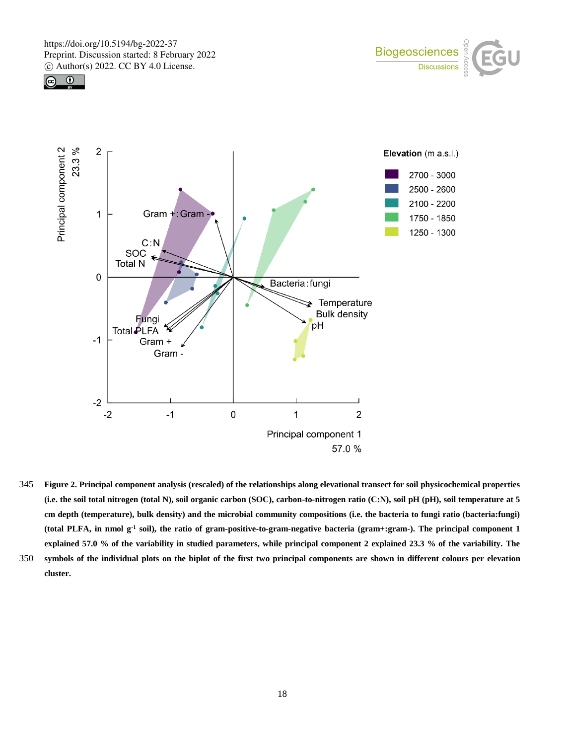





- 345 **Figure 2. Principal component analysis (rescaled) of the relationships along elevational transect for soil physicochemical properties (i.e. the soil total nitrogen (total N), soil organic carbon (SOC), carbon-to-nitrogen ratio (C:N), soil pH (pH), soil temperature at 5 cm depth (temperature), bulk density) and the microbial community compositions (i.e. the bacteria to fungi ratio (bacteria:fungi) (total PLFA, in nmol g-1 soil), the ratio of gram-positive-to-gram-negative bacteria (gram+:gram-). The principal component 1 explained 57.0 % of the variability in studied parameters, while principal component 2 explained 23.3 % of the variability. The**
- 350 **symbols of the individual plots on the biplot of the first two principal components are shown in different colours per elevation cluster.**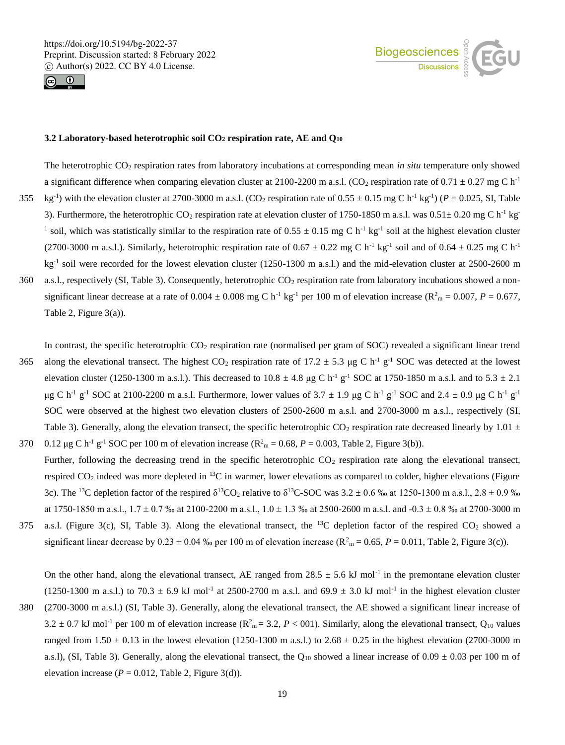



### **3.2 Laboratory-based heterotrophic soil CO<sup>2</sup> respiration rate, AE and Q<sup>10</sup>**

The heterotrophic CO<sup>2</sup> respiration rates from laboratory incubations at corresponding mean *in situ* temperature only showed a significant difference when comparing elevation cluster at 2100-2200 m a.s.l. (CO<sub>2</sub> respiration rate of 0.71  $\pm$  0.27 mg C h<sup>-1</sup> 355 kg<sup>-1</sup>) with the elevation cluster at 2700-3000 m a.s.l. (CO<sub>2</sub> respiration rate of  $0.55 \pm 0.15$  mg C h<sup>-1</sup> kg<sup>-1</sup>) ( $P = 0.025$ , SI, Table 3). Furthermore, the heterotrophic CO<sub>2</sub> respiration rate at elevation cluster of 1750-1850 m a.s.l. was  $0.51 \pm 0.20$  mg C h<sup>-1</sup> kg<sup>-1</sup> <sup>1</sup> soil, which was statistically similar to the respiration rate of  $0.55 \pm 0.15$  mg C h<sup>-1</sup> kg<sup>-1</sup> soil at the highest elevation cluster (2700-3000 m a.s.l.). Similarly, heterotrophic respiration rate of  $0.67 \pm 0.22$  mg C h<sup>-1</sup> kg<sup>-1</sup> soil and of  $0.64 \pm 0.25$  mg C h<sup>-1</sup> kg<sup>-1</sup> soil were recorded for the lowest elevation cluster (1250-1300 m a.s.l.) and the mid-elevation cluster at 2500-2600 m

360 a.s.l., respectively (SI, Table 3). Consequently, heterotrophic  $CO<sub>2</sub>$  respiration rate from laboratory incubations showed a nonsignificant linear decrease at a rate of  $0.004 \pm 0.008$  mg C h<sup>-1</sup> kg<sup>-1</sup> per 100 m of elevation increase ( $R^2$ <sub>m</sub> = 0.007, *P* = 0.677, Table 2, Figure 3(a)).

In contrast, the specific heterotrophic  $CO<sub>2</sub>$  respiration rate (normalised per gram of SOC) revealed a significant linear trend 365 along the elevational transect. The highest CO<sub>2</sub> respiration rate of 17.2  $\pm$  5.3 µg C h<sup>-1</sup> g<sup>-1</sup> SOC was detected at the lowest elevation cluster (1250-1300 m a.s.l.). This decreased to  $10.8 \pm 4.8$  µg C h<sup>-1</sup> g<sup>-1</sup> SOC at 1750-1850 m a.s.l. and to 5.3  $\pm$  2.1 μg C h<sup>-1</sup> g<sup>-1</sup> SOC at 2100-2200 m a.s.l. Furthermore, lower values of 3.7  $\pm$  1.9 μg C h<sup>-1</sup> g<sup>-1</sup> SOC and 2.4  $\pm$  0.9 μg C h<sup>-1</sup> g<sup>-1</sup> SOC were observed at the highest two elevation clusters of 2500-2600 m a.s.l. and 2700-3000 m a.s.l., respectively (SI, Table 3). Generally, along the elevation transect, the specific heterotrophic  $CO_2$  respiration rate decreased linearly by 1.01  $\pm$ 370 0.12  $\mu$ g C h<sup>-1</sup> g<sup>-1</sup> SOC per 100 m of elevation increase (R<sup>2</sup><sub>m</sub> = 0.68, *P* = 0.003, Table 2, Figure 3(b)).

- Further, following the decreasing trend in the specific heterotrophic  $CO<sub>2</sub>$  respiration rate along the elevational transect, respired  $CO<sub>2</sub>$  indeed was more depleted in <sup>13</sup>C in warmer, lower elevations as compared to colder, higher elevations (Figure 3c). The <sup>13</sup>C depletion factor of the respired  $\delta^{13}CO_2$  relative to  $\delta^{13}C$ -SOC was  $3.2 \pm 0.6$  % at 1250-1300 m a.s.l.,  $2.8 \pm 0.9$  % at  $1750-1850$  m a.s.l.,  $1.7 \pm 0.7$  ‰ at  $2100-2200$  m a.s.l.,  $1.0 \pm 1.3$  ‰ at  $2500-2600$  m a.s.l. and  $-0.3 \pm 0.8$  ‰ at  $2700-3000$  m
- 375 a.s.l. (Figure 3(c), SI, Table 3). Along the elevational transect, the <sup>13</sup>C depletion factor of the respired  $CO_2$  showed a significant linear decrease by  $0.23 \pm 0.04$  % per 100 m of elevation increase ( $R^2$ <sub>m</sub> = 0.65, *P* = 0.011, Table 2, Figure 3(c)).

On the other hand, along the elevational transect, AE ranged from  $28.5 \pm 5.6$  kJ mol<sup>-1</sup> in the premontane elevation cluster  $(1250-1300 \text{ m a.s.}!)$  to  $70.3 \pm 6.9 \text{ kJ}$  mol<sup>-1</sup> at  $2500-2700 \text{ m a.s.}!$  and  $69.9 \pm 3.0 \text{ kJ}$  mol<sup>-1</sup> in the highest elevation cluster

380 (2700-3000 m a.s.l.) (SI, Table 3). Generally, along the elevational transect, the AE showed a significant linear increase of 3.2  $\pm$  0.7 kJ mol<sup>-1</sup> per 100 m of elevation increase ( $R_m^2$  = 3.2,  $P$  < 001). Similarly, along the elevational transect, Q<sub>10</sub> values ranged from  $1.50 \pm 0.13$  in the lowest elevation (1250-1300 m a.s.l.) to  $2.68 \pm 0.25$  in the highest elevation (2700-3000 m a.s.l), (SI, Table 3). Generally, along the elevational transect, the Q<sub>10</sub> showed a linear increase of 0.09  $\pm$  0.03 per 100 m of elevation increase  $(P = 0.012$ , Table 2, Figure 3(d)).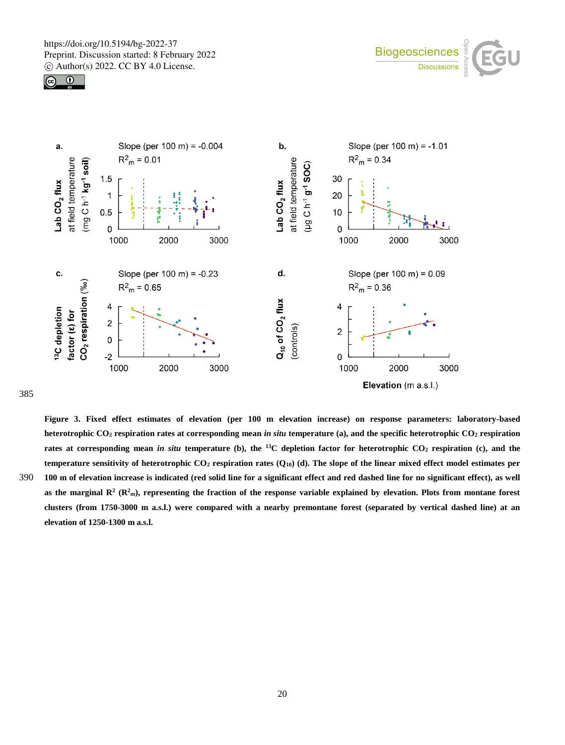





385

**Figure 3. Fixed effect estimates of elevation (per 100 m elevation increase) on response parameters: laboratory-based heterotrophic CO<sup>2</sup> respiration rates at corresponding mean** *in situ* **temperature (a), and the specific heterotrophic CO<sup>2</sup> respiration rates at corresponding mean** *in situ* **temperature (b), the <sup>13</sup>C depletion factor for heterotrophic CO<sup>2</sup> respiration (c), and the temperature sensitivity of heterotrophic CO<sup>2</sup> respiration rates (Q10) (d). The slope of the linear mixed effect model estimates per**  390 **100 m of elevation increase is indicated (red solid line for a significant effect and red dashed line for no significant effect), as well**  as the marginal  $R^2$  ( $R^2$ <sub>m</sub>), representing the fraction of the response variable explained by elevation. Plots from montane forest **clusters (from 1750-3000 m a.s.l.) were compared with a nearby premontane forest (separated by vertical dashed line) at an elevation of 1250-1300 m a.s.l.**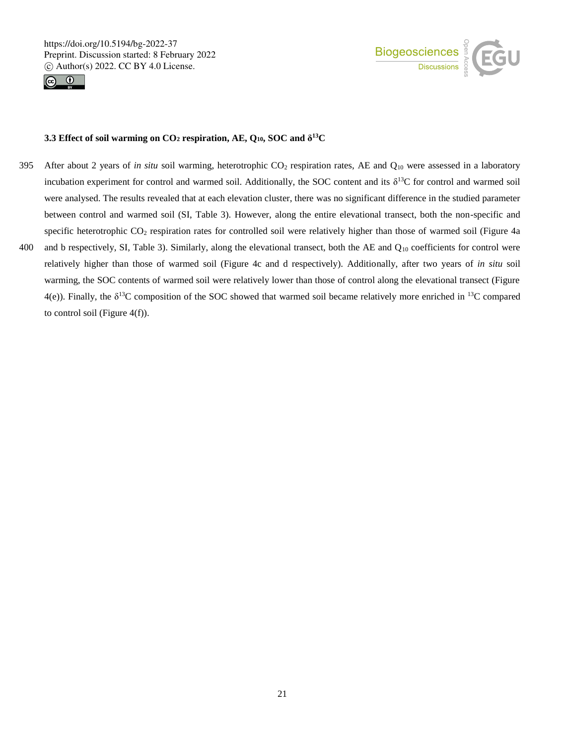



#### ${\bf 3.3}$  Effect of soil warming on  ${\bf CO_2}$  respiration, AE,  ${\bf Q_{10}}, {\bf SOC}$  and  $\delta^{13}{\bf C}$

- 395 After about 2 years of *in situ* soil warming, heterotrophic CO<sub>2</sub> respiration rates, AE and Q<sub>10</sub> were assessed in a laboratory incubation experiment for control and warmed soil. Additionally, the SOC content and its  $\delta^{13}C$  for control and warmed soil were analysed. The results revealed that at each elevation cluster, there was no significant difference in the studied parameter between control and warmed soil (SI, Table 3). However, along the entire elevational transect, both the non-specific and specific heterotrophic  $CO_2$  respiration rates for controlled soil were relatively higher than those of warmed soil (Figure 4a) 400 and b respectively, SI, Table 3). Similarly, along the elevational transect, both the AE and  $Q_{10}$  coefficients for control were relatively higher than those of warmed soil (Figure 4c and d respectively). Additionally, after two years of *in situ* soil warming, the SOC contents of warmed soil were relatively lower than those of control along the elevational transect (Figure
	- $4(e)$ ). Finally, the  $\delta^{13}C$  composition of the SOC showed that warmed soil became relatively more enriched in  $^{13}C$  compared to control soil (Figure  $4(f)$ ).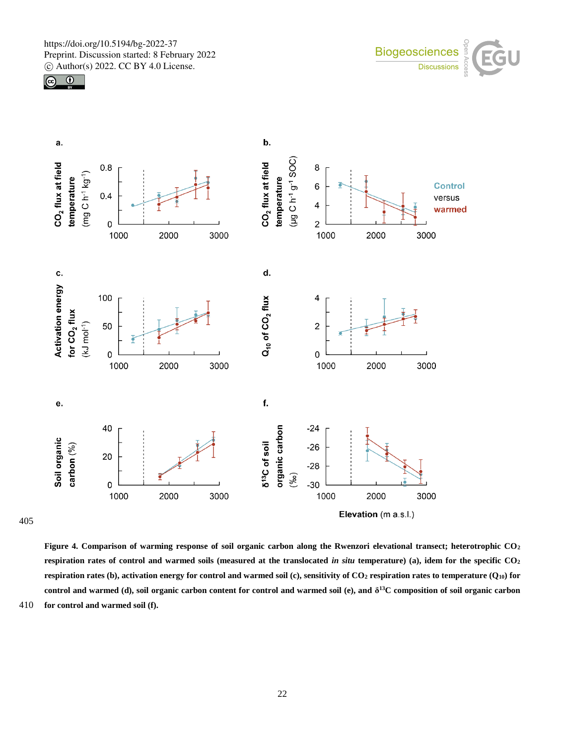



**Figure 4. Comparison of warming response of soil organic carbon along the Rwenzori elevational transect; heterotrophic CO<sup>2</sup> respiration rates of control and warmed soils (measured at the translocated** *in situ* **temperature) (a), idem for the specific CO<sup>2</sup> respiration rates (b), activation energy for control and warmed soil (c), sensitivity of**  $CO<sub>2</sub>$  **respiration rates to temperature (** $O<sub>10</sub>$ **) for control and warmed (d), soil organic carbon content for control and warmed soil (e), and δ <sup>13</sup>C composition of soil organic carbon**  410 **for control and warmed soil (f).**

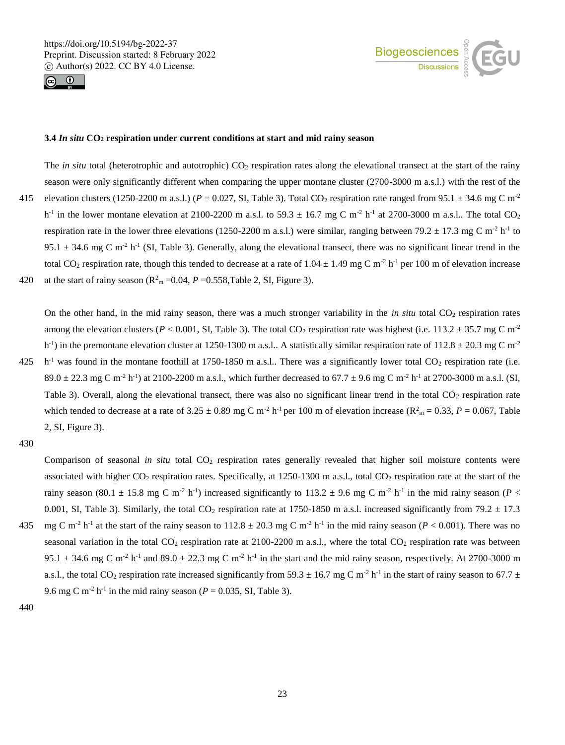



#### **3.4** *In situ* **CO<sup>2</sup> respiration under current conditions at start and mid rainy season**

The *in situ* total (heterotrophic and autotrophic) CO<sub>2</sub> respiration rates along the elevational transect at the start of the rainy season were only significantly different when comparing the upper montane cluster (2700-3000 m a.s.l.) with the rest of the 415 elevation clusters (1250-2200 m a.s.l.) ( $P = 0.027$ , SI, Table 3). Total CO<sub>2</sub> respiration rate ranged from 95.1  $\pm$  34.6 mg C m<sup>-2</sup>  $h^{-1}$  in the lower montane elevation at 2100-2200 m a.s.l. to 59.3  $\pm$  16.7 mg C m<sup>-2</sup>  $h^{-1}$  at 2700-3000 m a.s.l.. The total CO<sub>2</sub> respiration rate in the lower three elevations (1250-2200 m a.s.l.) were similar, ranging between 79.2  $\pm$  17.3 mg C m<sup>-2</sup> h<sup>-1</sup> to 95.1  $\pm$  34.6 mg C m<sup>-2</sup> h<sup>-1</sup> (SI, Table 3). Generally, along the elevational transect, there was no significant linear trend in the total CO<sub>2</sub> respiration rate, though this tended to decrease at a rate of  $1.04 \pm 1.49$  mg C m<sup>-2</sup> h<sup>-1</sup> per 100 m of elevation increase 420 at the start of rainy season ( $R<sup>2</sup><sub>m</sub> = 0.04$ ,  $P = 0.558$ ,Table 2, SI, Figure 3).

On the other hand, in the mid rainy season, there was a much stronger variability in the *in situ* total  $CO_2$  respiration rates among the elevation clusters ( $P < 0.001$ , SI, Table 3). The total CO<sub>2</sub> respiration rate was highest (i.e. 113.2  $\pm$  35.7 mg C m<sup>-2</sup> h<sup>-1</sup>) in the premontane elevation cluster at 1250-1300 m a.s.l.. A statistically similar respiration rate of 112.8  $\pm$  20.3 mg C m<sup>-2</sup> 425  $\,$ h<sup>-1</sup> was found in the montane foothill at 1750-1850 m a.s.l.. There was a significantly lower total CO<sub>2</sub> respiration rate (i.e.

 $89.0 \pm 22.3$  mg C m<sup>-2</sup> h<sup>-1</sup>) at 2100-2200 m a.s.l., which further decreased to 67.7  $\pm$  9.6 mg C m<sup>-2</sup> h<sup>-1</sup> at 2700-3000 m a.s.l. (SI, Table 3). Overall, along the elevational transect, there was also no significant linear trend in the total  $CO<sub>2</sub>$  respiration rate which tended to decrease at a rate of  $3.25 \pm 0.89$  mg C m<sup>-2</sup> h<sup>-1</sup> per 100 m of elevation increase ( $R_{m}^{2} = 0.33$ ,  $P = 0.067$ , Table 2, SI, Figure 3).

430

Comparison of seasonal *in situ* total CO<sub>2</sub> respiration rates generally revealed that higher soil moisture contents were associated with higher  $CO_2$  respiration rates. Specifically, at 1250-1300 m a.s.l., total  $CO_2$  respiration rate at the start of the rainy season (80.1  $\pm$  15.8 mg C m<sup>-2</sup> h<sup>-1</sup>) increased significantly to 113.2  $\pm$  9.6 mg C m<sup>-2</sup> h<sup>-1</sup> in the mid rainy season (*P* < 0.001, SI, Table 3). Similarly, the total  $CO_2$  respiration rate at 1750-1850 m a.s.l. increased significantly from 79.2  $\pm$  17.3 435 mg C m<sup>-2</sup> h<sup>-1</sup> at the start of the rainy season to  $112.8 \pm 20.3$  mg C m<sup>-2</sup> h<sup>-1</sup> in the mid rainy season (*P* < 0.001). There was no seasonal variation in the total  $CO_2$  respiration rate at 2100-2200 m a.s.l., where the total  $CO_2$  respiration rate was between 95.1  $\pm$  34.6 mg C m<sup>-2</sup> h<sup>-1</sup> and 89.0  $\pm$  22.3 mg C m<sup>-2</sup> h<sup>-1</sup> in the start and the mid rainy season, respectively. At 2700-3000 m a.s.l., the total CO<sub>2</sub> respiration rate increased significantly from 59.3  $\pm$  16.7 mg C m<sup>-2</sup> h<sup>-1</sup> in the start of rainy season to 67.7  $\pm$ 

9.6 mg C m<sup>-2</sup> h<sup>-1</sup> in the mid rainy season ( $P = 0.035$ , SI, Table 3).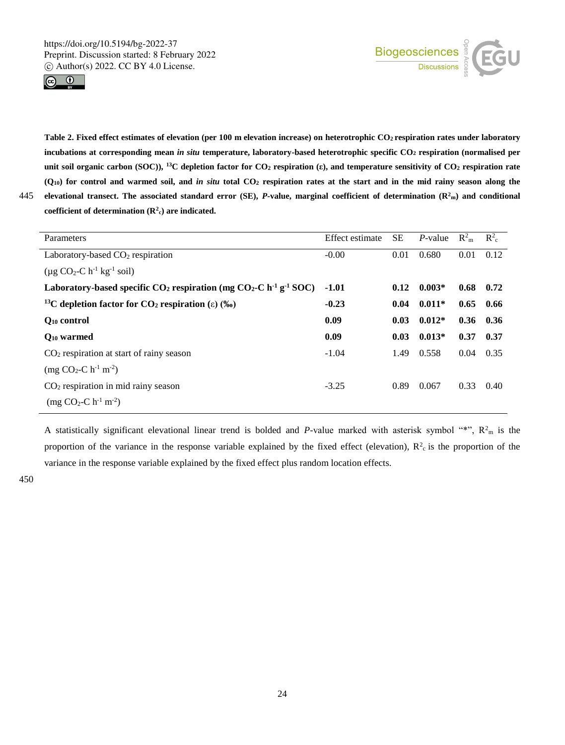



**Table 2. Fixed effect estimates of elevation (per 100 m elevation increase) on heterotrophic CO2 respiration rates under laboratory incubations at corresponding mean** *in situ* **temperature, laboratory-based heterotrophic specific CO<sup>2</sup> respiration (normalised per unit soil organic carbon (SOC)), <sup>13</sup>C depletion factor for CO<sup>2</sup> respiration (ε), and temperature sensitivity of CO<sup>2</sup> respiration rate (Q10) for control and warmed soil, and** *in situ* **total CO<sup>2</sup> respiration rates at the start and in the mid rainy season along the 445** elevational transect. The associated standard error (SE), *P***-value, marginal coefficient of determination (** $\mathbb{R}^2$ **<sup>m</sup>) and conditional coefficient of determination (R<sup>2</sup> <sup>c</sup>) are indicated.**

| Parameters                                                                                                        | <b>Effect</b> estimate | <b>SE</b> | $P$ -value | $R_{m}^{2}$ | $R_c^2$ |
|-------------------------------------------------------------------------------------------------------------------|------------------------|-----------|------------|-------------|---------|
| Laboratory-based $CO2$ respiration                                                                                | $-0.00$                | 0.01      | 0.680      | 0.01        | 0.12    |
| $(\mu g CO_2-C h^{-1} kg^{-1} soil)$                                                                              |                        |           |            |             |         |
| Laboratory-based specific CO <sub>2</sub> respiration (mg CO <sub>2</sub> -C h <sup>-1</sup> g <sup>-1</sup> SOC) | $-1.01$                | 0.12      | $0.003*$   | 0.68        | 0.72    |
| <sup>13</sup> C depletion factor for CO <sub>2</sub> respiration ( $\varepsilon$ ) (%)                            | $-0.23$                | 0.04      | $0.011*$   | 0.65        | 0.66    |
| Q <sub>10</sub> control                                                                                           | 0.09                   | 0.03      | $0.012*$   | 0.36        | 0.36    |
| $Q_{10}$ warmed                                                                                                   | 0.09                   | 0.03      | $0.013*$   | 0.37        | 0.37    |
| $CO2$ respiration at start of rainy season                                                                        | $-1.04$                | 1.49      | 0.558      | 0.04        | 0.35    |
| $(mg CO2-C h-1 m-2)$                                                                                              |                        |           |            |             |         |
| $CO2$ respiration in mid rainy season                                                                             | $-3.25$                | 0.89      | 0.067      | 0.33        | 0.40    |
| $(mg CO2-C h-1 m-2)$                                                                                              |                        |           |            |             |         |

A statistically significant elevational linear trend is bolded and *P*-value marked with asterisk symbol "\*",  $R_{m}^{2}$  is the proportion of the variance in the response variable explained by the fixed effect (elevation),  $R^2$  is the proportion of the variance in the response variable explained by the fixed effect plus random location effects.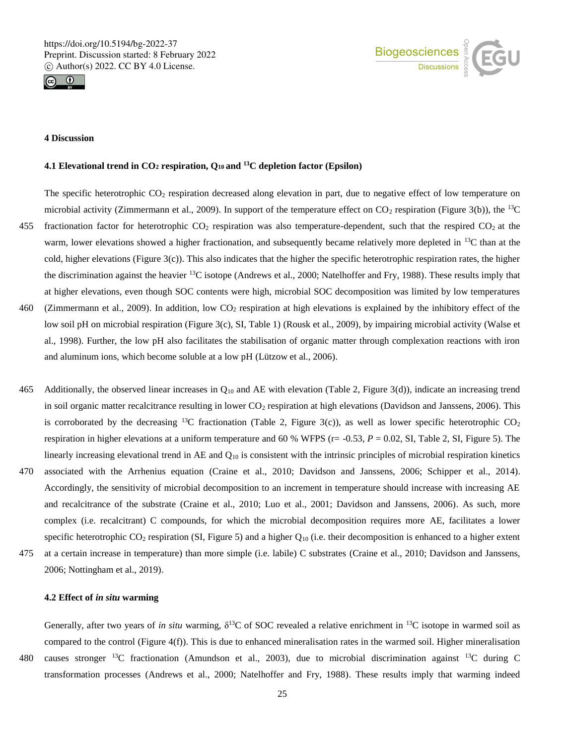



### **4 Discussion**

# **4.1 Elevational trend in CO<sup>2</sup> respiration, Q10 and <sup>13</sup>C depletion factor (Epsilon)**

The specific heterotrophic  $CO_2$  respiration decreased along elevation in part, due to negative effect of low temperature on microbial activity (Zimmermann et al., 2009). In support of the temperature effect on  $CO_2$  respiration (Figure 3(b)), the <sup>13</sup>C 455 fractionation factor for heterotrophic  $CO_2$  respiration was also temperature-dependent, such that the respired  $CO_2$  at the warm, lower elevations showed a higher fractionation, and subsequently became relatively more depleted in <sup>13</sup>C than at the cold, higher elevations (Figure 3(c)). This also indicates that the higher the specific heterotrophic respiration rates, the higher the discrimination against the heavier  $^{13}$ C isotope (Andrews et al., 2000; Natelhoffer and Fry, 1988). These results imply that at higher elevations, even though SOC contents were high, microbial SOC decomposition was limited by low temperatures 460 (Zimmermann et al., 2009). In addition, low CO<sup>2</sup> respiration at high elevations is explained by the inhibitory effect of the low soil pH on microbial respiration (Figure 3(c), SI, Table 1) (Rousk et al., 2009), by impairing microbial activity (Walse et al., 1998). Further, the low pH also facilitates the stabilisation of organic matter through complexation reactions with iron and aluminum ions, which become soluble at a low pH (Lützow et al., 2006).

- 465 Additionally, the observed linear increases in  $Q_{10}$  and AE with elevation (Table 2, Figure 3(d)), indicate an increasing trend in soil organic matter recalcitrance resulting in lower  $CO<sub>2</sub>$  respiration at high elevations (Davidson and Janssens, 2006). This is corroborated by the decreasing <sup>13</sup>C fractionation (Table 2, Figure 3(c)), as well as lower specific heterotrophic  $CO<sub>2</sub>$ respiration in higher elevations at a uniform temperature and 60 % WFPS ( $r = -0.53$ ,  $P = 0.02$ , SI, Table 2, SI, Figure 5). The linearly increasing elevational trend in AE and  $Q_{10}$  is consistent with the intrinsic principles of microbial respiration kinetics 470 associated with the Arrhenius equation (Craine et al., 2010; Davidson and Janssens, 2006; Schipper et al., 2014). Accordingly, the sensitivity of microbial decomposition to an increment in temperature should increase with increasing AE and recalcitrance of the substrate (Craine et al., 2010; Luo et al., 2001; Davidson and Janssens, 2006). As such, more
- complex (i.e. recalcitrant) C compounds, for which the microbial decomposition requires more AE, facilitates a lower specific heterotrophic  $CO_2$  respiration (SI, Figure 5) and a higher  $Q_{10}$  (i.e. their decomposition is enhanced to a higher extent 475 at a certain increase in temperature) than more simple (i.e. labile) C substrates (Craine et al., 2010; Davidson and Janssens, 2006; Nottingham et al., 2019).

#### **4.2 Effect of** *in situ* **warming**

Generally, after two years of *in situ* warming,  $\delta^{13}$ C of SOC revealed a relative enrichment in  $^{13}$ C isotope in warmed soil as compared to the control (Figure  $4(f)$ ). This is due to enhanced mineralisation rates in the warmed soil. Higher mineralisation 480 causes stronger <sup>13</sup>C fractionation (Amundson et al., 2003), due to microbial discrimination against <sup>13</sup>C during C transformation processes (Andrews et al., 2000; Natelhoffer and Fry, 1988). These results imply that warming indeed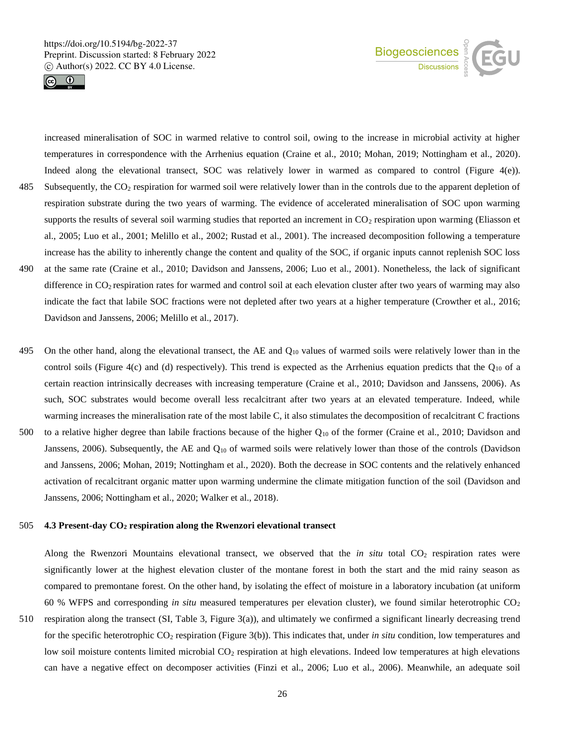



increased mineralisation of SOC in warmed relative to control soil, owing to the increase in microbial activity at higher temperatures in correspondence with the Arrhenius equation (Craine et al., 2010; Mohan, 2019; Nottingham et al., 2020). Indeed along the elevational transect, SOC was relatively lower in warmed as compared to control (Figure 4(e)). 485 Subsequently, the CO<sup>2</sup> respiration for warmed soil were relatively lower than in the controls due to the apparent depletion of respiration substrate during the two years of warming. The evidence of accelerated mineralisation of SOC upon warming supports the results of several soil warming studies that reported an increment in  $CO<sub>2</sub>$  respiration upon warming (Eliasson et al., 2005; Luo et al., 2001; Melillo et al., 2002; Rustad et al., 2001). The increased decomposition following a temperature increase has the ability to inherently change the content and quality of the SOC, if organic inputs cannot replenish SOC loss 490 at the same rate (Craine et al., 2010; Davidson and Janssens, 2006; Luo et al., 2001). Nonetheless, the lack of significant difference in  $CO<sub>2</sub>$  respiration rates for warmed and control soil at each elevation cluster after two years of warming may also indicate the fact that labile SOC fractions were not depleted after two years at a higher temperature (Crowther et al., 2016; Davidson and Janssens, 2006; Melillo et al., 2017).

- 495 On the other hand, along the elevational transect, the AE and  $Q_{10}$  values of warmed soils were relatively lower than in the control soils (Figure 4(c) and (d) respectively). This trend is expected as the Arrhenius equation predicts that the  $Q_{10}$  of a certain reaction intrinsically decreases with increasing temperature (Craine et al., 2010; Davidson and Janssens, 2006). As such, SOC substrates would become overall less recalcitrant after two years at an elevated temperature. Indeed, while warming increases the mineralisation rate of the most labile C, it also stimulates the decomposition of recalcitrant C fractions 500 to a relative higher degree than labile fractions because of the higher Q<sup>10</sup> of the former (Craine et al., 2010; Davidson and Janssens, 2006). Subsequently, the AE and  $Q_{10}$  of warmed soils were relatively lower than those of the controls (Davidson and Janssens, 2006; Mohan, 2019; Nottingham et al., 2020). Both the decrease in SOC contents and the relatively enhanced
- Janssens, 2006; Nottingham et al., 2020; Walker et al., 2018).

#### 505 **4.3 Present-day CO<sup>2</sup> respiration along the Rwenzori elevational transect**

Along the Rwenzori Mountains elevational transect, we observed that the *in situ* total  $CO_2$  respiration rates were significantly lower at the highest elevation cluster of the montane forest in both the start and the mid rainy season as compared to premontane forest. On the other hand, by isolating the effect of moisture in a laboratory incubation (at uniform 60 % WFPS and corresponding *in situ* measured temperatures per elevation cluster), we found similar heterotrophic CO<sup>2</sup>

activation of recalcitrant organic matter upon warming undermine the climate mitigation function of the soil (Davidson and

510 respiration along the transect (SI, Table 3, Figure 3(a)), and ultimately we confirmed a significant linearly decreasing trend for the specific heterotrophic CO<sup>2</sup> respiration (Figure 3(b)). This indicates that, under *in situ* condition, low temperatures and low soil moisture contents limited microbial  $CO<sub>2</sub>$  respiration at high elevations. Indeed low temperatures at high elevations can have a negative effect on decomposer activities (Finzi et al., 2006; Luo et al., 2006). Meanwhile, an adequate soil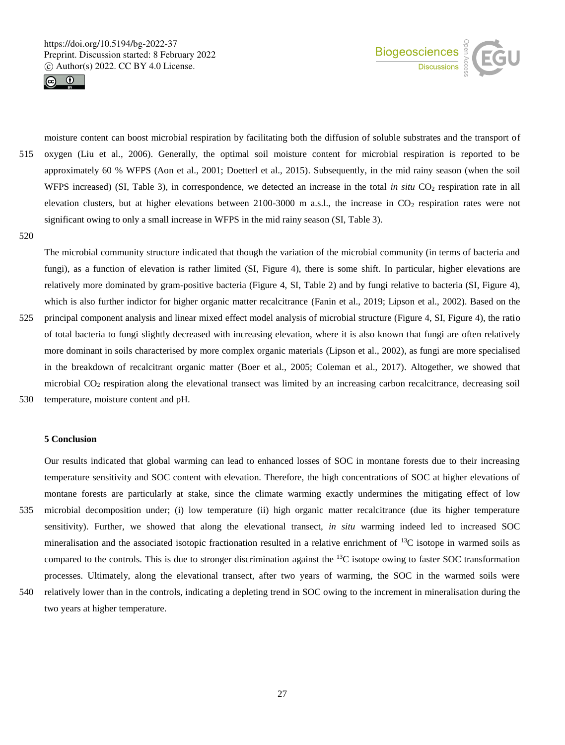



moisture content can boost microbial respiration by facilitating both the diffusion of soluble substrates and the transport of 515 oxygen (Liu et al., 2006). Generally, the optimal soil moisture content for microbial respiration is reported to be approximately 60 % WFPS (Aon et al., 2001; Doetterl et al., 2015). Subsequently, in the mid rainy season (when the soil WFPS increased) (SI, Table 3), in correspondence, we detected an increase in the total *in situ* CO<sub>2</sub> respiration rate in all elevation clusters, but at higher elevations between 2100-3000 m a.s.l., the increase in CO<sub>2</sub> respiration rates were not significant owing to only a small increase in WFPS in the mid rainy season (SI, Table 3).

520

The microbial community structure indicated that though the variation of the microbial community (in terms of bacteria and fungi), as a function of elevation is rather limited (SI, Figure 4), there is some shift. In particular, higher elevations are relatively more dominated by gram-positive bacteria (Figure 4, SI, Table 2) and by fungi relative to bacteria (SI, Figure 4), which is also further indictor for higher organic matter recalcitrance (Fanin et al., 2019; Lipson et al., 2002). Based on the 525 principal component analysis and linear mixed effect model analysis of microbial structure (Figure 4, SI, Figure 4), the ratio of total bacteria to fungi slightly decreased with increasing elevation, where it is also known that fungi are often relatively more dominant in soils characterised by more complex organic materials (Lipson et al., 2002), as fungi are more specialised in the breakdown of recalcitrant organic matter (Boer et al., 2005; Coleman et al., 2017). Altogether, we showed that microbial CO<sub>2</sub> respiration along the elevational transect was limited by an increasing carbon recalcitrance, decreasing soil 530 temperature, moisture content and pH.

#### **5 Conclusion**

Our results indicated that global warming can lead to enhanced losses of SOC in montane forests due to their increasing temperature sensitivity and SOC content with elevation. Therefore, the high concentrations of SOC at higher elevations of montane forests are particularly at stake, since the climate warming exactly undermines the mitigating effect of low 535 microbial decomposition under; (i) low temperature (ii) high organic matter recalcitrance (due its higher temperature sensitivity). Further, we showed that along the elevational transect, *in situ* warming indeed led to increased SOC mineralisation and the associated isotopic fractionation resulted in a relative enrichment of <sup>13</sup>C isotope in warmed soils as compared to the controls. This is due to stronger discrimination against the  $^{13}C$  isotope owing to faster SOC transformation processes. Ultimately, along the elevational transect, after two years of warming, the SOC in the warmed soils were 540 relatively lower than in the controls, indicating a depleting trend in SOC owing to the increment in mineralisation during the

two years at higher temperature.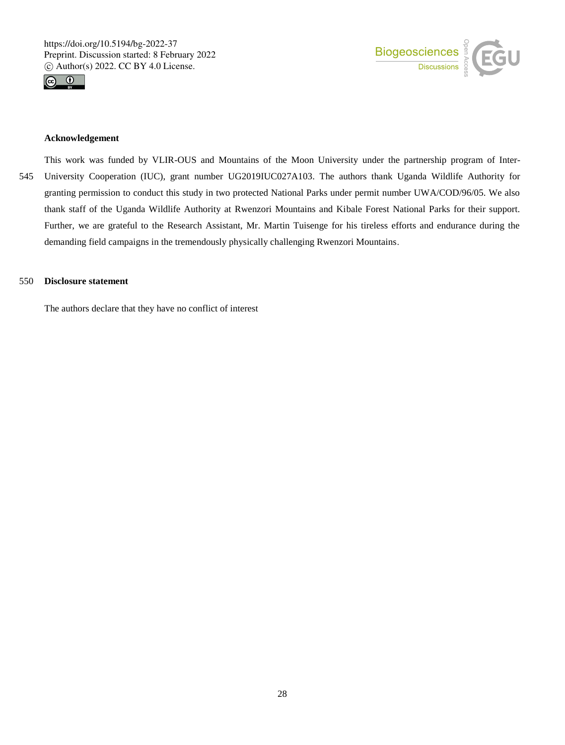



#### **Acknowledgement**

This work was funded by VLIR-OUS and Mountains of the Moon University under the partnership program of Inter-545 University Cooperation (IUC), grant number UG2019IUC027A103. The authors thank Uganda Wildlife Authority for granting permission to conduct this study in two protected National Parks under permit number UWA/COD/96/05. We also thank staff of the Uganda Wildlife Authority at Rwenzori Mountains and Kibale Forest National Parks for their support. Further, we are grateful to the Research Assistant, Mr. Martin Tuisenge for his tireless efforts and endurance during the demanding field campaigns in the tremendously physically challenging Rwenzori Mountains.

#### 550 **Disclosure statement**

The authors declare that they have no conflict of interest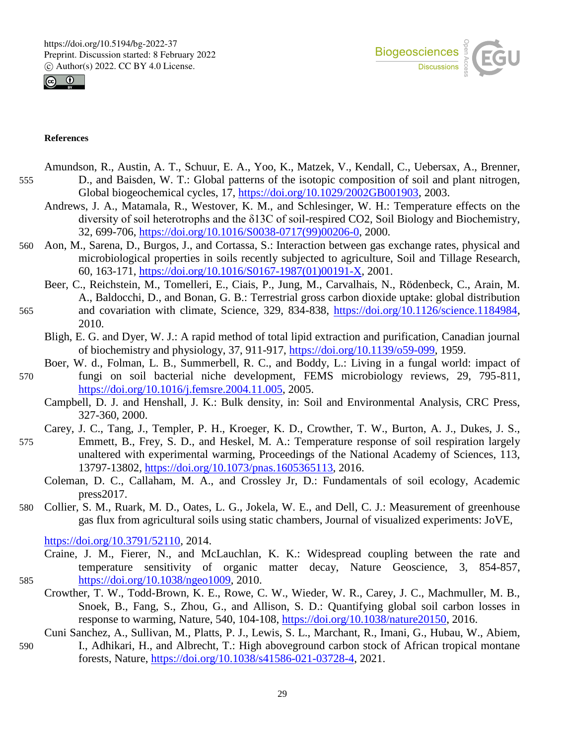



### **References**

- Amundson, R., Austin, A. T., Schuur, E. A., Yoo, K., Matzek, V., Kendall, C., Uebersax, A., Brenner, 555 D., and Baisden, W. T.: Global patterns of the isotopic composition of soil and plant nitrogen, Global biogeochemical cycles, 17, https://doi.org/10.1029/2002GB001903, 2003.
	- Andrews, J. A., Matamala, R., Westover, K. M., and Schlesinger, W. H.: Temperature effects on the diversity of soil heterotrophs and the δ13C of soil-respired CO2, Soil Biology and Biochemistry, 32, 699-706, https://doi.org/10.1016/S0038-0717(99)00206-0, 2000.
- 560 Aon, M., Sarena, D., Burgos, J., and Cortassa, S.: Interaction between gas exchange rates, physical and microbiological properties in soils recently subjected to agriculture, Soil and Tillage Research, 60, 163-171, https://doi.org/10.1016/S0167-1987(01)00191-X, 2001.
- Beer, C., Reichstein, M., Tomelleri, E., Ciais, P., Jung, M., Carvalhais, N., Rödenbeck, C., Arain, M. A., Baldocchi, D., and Bonan, G. B.: Terrestrial gross carbon dioxide uptake: global distribution 565 and covariation with climate, Science, 329, 834-838, https://doi.org/10.1126/science.1184984, 2010.
	- Bligh, E. G. and Dyer, W. J.: A rapid method of total lipid extraction and purification, Canadian journal of biochemistry and physiology, 37, 911-917, https://doi.org/10.1139/o59-099, 1959.
- Boer, W. d., Folman, L. B., Summerbell, R. C., and Boddy, L.: Living in a fungal world: impact of 570 fungi on soil bacterial niche development, FEMS microbiology reviews, 29, 795-811, https://doi.org/10.1016/j.femsre.2004.11.005, 2005.
	- Campbell, D. J. and Henshall, J. K.: Bulk density, in: Soil and Environmental Analysis, CRC Press, 327-360, 2000.
	- Carey, J. C., Tang, J., Templer, P. H., Kroeger, K. D., Crowther, T. W., Burton, A. J., Dukes, J. S.,
- 575 Emmett, B., Frey, S. D., and Heskel, M. A.: Temperature response of soil respiration largely unaltered with experimental warming, Proceedings of the National Academy of Sciences, 113, 13797-13802, https://doi.org/10.1073/pnas.1605365113, 2016.
	- Coleman, D. C., Callaham, M. A., and Crossley Jr, D.: Fundamentals of soil ecology, Academic press2017.
- 580 Collier, S. M., Ruark, M. D., Oates, L. G., Jokela, W. E., and Dell, C. J.: Measurement of greenhouse gas flux from agricultural soils using static chambers, Journal of visualized experiments: JoVE,

https://doi.org/10.3791/52110, 2014.

- Craine, J. M., Fierer, N., and McLauchlan, K. K.: Widespread coupling between the rate and temperature sensitivity of organic matter decay, Nature Geoscience, 3, 854-857, 585 https://doi.org/10.1038/ngeo1009, 2010.
	- Crowther, T. W., Todd-Brown, K. E., Rowe, C. W., Wieder, W. R., Carey, J. C., Machmuller, M. B., Snoek, B., Fang, S., Zhou, G., and Allison, S. D.: Quantifying global soil carbon losses in response to warming, Nature, 540, 104-108, https://doi.org/10.1038/nature20150, 2016.
- Cuni Sanchez, A., Sullivan, M., Platts, P. J., Lewis, S. L., Marchant, R., Imani, G., Hubau, W., Abiem, 590 I., Adhikari, H., and Albrecht, T.: High aboveground carbon stock of African tropical montane forests, Nature, https://doi.org/10.1038/s41586-021-03728-4, 2021.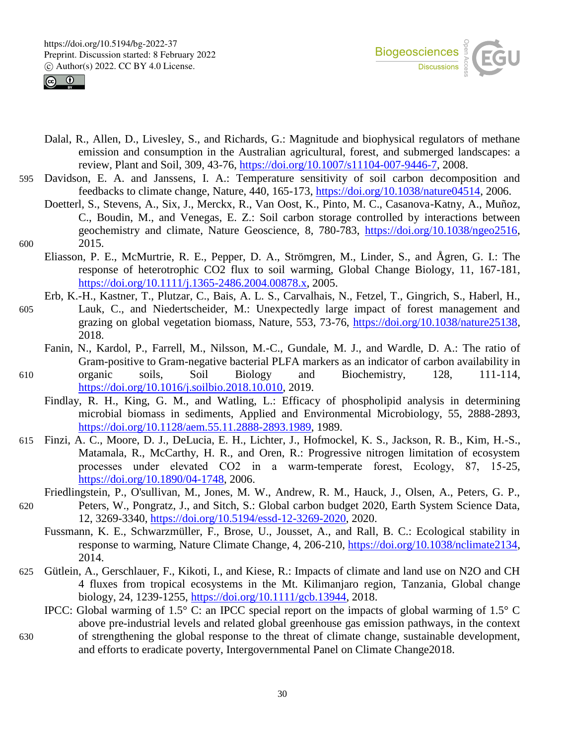



- Dalal, R., Allen, D., Livesley, S., and Richards, G.: Magnitude and biophysical regulators of methane emission and consumption in the Australian agricultural, forest, and submerged landscapes: a review, Plant and Soil, 309, 43-76, https://doi.org/10.1007/s11104-007-9446-7, 2008.
- 595 Davidson, E. A. and Janssens, I. A.: Temperature sensitivity of soil carbon decomposition and feedbacks to climate change, Nature, 440, 165-173, https://doi.org/10.1038/nature04514, 2006.
- Doetterl, S., Stevens, A., Six, J., Merckx, R., Van Oost, K., Pinto, M. C., Casanova-Katny, A., Muñoz, C., Boudin, M., and Venegas, E. Z.: Soil carbon storage controlled by interactions between geochemistry and climate, Nature Geoscience, 8, 780-783, https://doi.org/10.1038/ngeo2516, 600 2015.
	- Eliasson, P. E., McMurtrie, R. E., Pepper, D. A., Strömgren, M., Linder, S., and Ågren, G. I.: The response of heterotrophic CO2 flux to soil warming, Global Change Biology, 11, 167-181, https://doi.org/10.1111/j.1365-2486.2004.00878.x, 2005.
		- Erb, K.-H., Kastner, T., Plutzar, C., Bais, A. L. S., Carvalhais, N., Fetzel, T., Gingrich, S., Haberl, H.,
- 605 Lauk, C., and Niedertscheider, M.: Unexpectedly large impact of forest management and grazing on global vegetation biomass, Nature, 553, 73-76, https://doi.org/10.1038/nature25138, 2018.
- Fanin, N., Kardol, P., Farrell, M., Nilsson, M.-C., Gundale, M. J., and Wardle, D. A.: The ratio of Gram-positive to Gram-negative bacterial PLFA markers as an indicator of carbon availability in 610 organic soils, Soil Biology and Biochemistry, 128, 111-114,
	- https://doi.org/10.1016/j.soilbio.2018.10.010, 2019.
		- Findlay, R. H., King, G. M., and Watling, L.: Efficacy of phospholipid analysis in determining microbial biomass in sediments, Applied and Environmental Microbiology, 55, 2888-2893, https://doi.org/10.1128/aem.55.11.2888-2893.1989, 1989.
- 615 Finzi, A. C., Moore, D. J., DeLucia, E. H., Lichter, J., Hofmockel, K. S., Jackson, R. B., Kim, H.-S., Matamala, R., McCarthy, H. R., and Oren, R.: Progressive nitrogen limitation of ecosystem processes under elevated CO2 in a warm‐temperate forest, Ecology, 87, 15-25, https://doi.org/10.1890/04-1748, 2006.
	- Friedlingstein, P., O'sullivan, M., Jones, M. W., Andrew, R. M., Hauck, J., Olsen, A., Peters, G. P.,
- 620 Peters, W., Pongratz, J., and Sitch, S.: Global carbon budget 2020, Earth System Science Data, 12, 3269-3340, https://doi.org/10.5194/essd-12-3269-2020, 2020.
	- Fussmann, K. E., Schwarzmüller, F., Brose, U., Jousset, A., and Rall, B. C.: Ecological stability in response to warming, Nature Climate Change, 4, 206-210, https://doi.org/10.1038/nclimate2134, 2014.
- 625 Gütlein, A., Gerschlauer, F., Kikoti, I., and Kiese, R.: Impacts of climate and land use on N2O and CH 4 fluxes from tropical ecosystems in the Mt. Kilimanjaro region, Tanzania, Global change biology, 24, 1239-1255, https://doi.org/10.1111/gcb.13944, 2018.
	- IPCC: Global warming of 1.5° C: an IPCC special report on the impacts of global warming of 1.5° C above pre-industrial levels and related global greenhouse gas emission pathways, in the context
- 630 of strengthening the global response to the threat of climate change, sustainable development, and efforts to eradicate poverty, Intergovernmental Panel on Climate Change2018.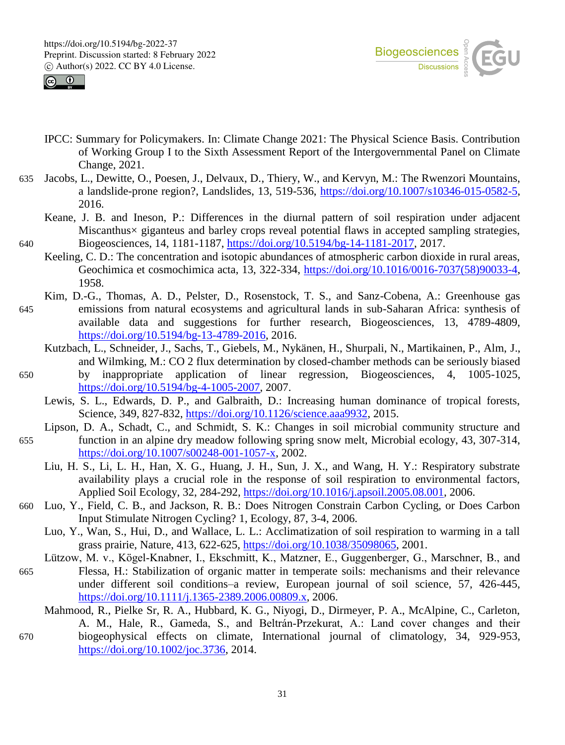



- IPCC: Summary for Policymakers. In: Climate Change 2021: The Physical Science Basis. Contribution of Working Group I to the Sixth Assessment Report of the Intergovernmental Panel on Climate Change, 2021.
- 635 Jacobs, L., Dewitte, O., Poesen, J., Delvaux, D., Thiery, W., and Kervyn, M.: The Rwenzori Mountains, a landslide-prone region?, Landslides, 13, 519-536, https://doi.org/10.1007/s10346-015-0582-5, 2016.
- Keane, J. B. and Ineson, P.: Differences in the diurnal pattern of soil respiration under adjacent Miscanthus× giganteus and barley crops reveal potential flaws in accepted sampling strategies, 640 Biogeosciences, 14, 1181-1187, https://doi.org/10.5194/bg-14-1181-2017, 2017.
	- Keeling, C. D.: The concentration and isotopic abundances of atmospheric carbon dioxide in rural areas, Geochimica et cosmochimica acta, 13, 322-334, https://doi.org/10.1016/0016-7037(58)90033-4, 1958.
- Kim, D.-G., Thomas, A. D., Pelster, D., Rosenstock, T. S., and Sanz-Cobena, A.: Greenhouse gas 645 emissions from natural ecosystems and agricultural lands in sub-Saharan Africa: synthesis of available data and suggestions for further research, Biogeosciences, 13, 4789-4809, https://doi.org/10.5194/bg-13-4789-2016, 2016.
	- Kutzbach, L., Schneider, J., Sachs, T., Giebels, M., Nykänen, H., Shurpali, N., Martikainen, P., Alm, J., and Wilmking, M.: CO 2 flux determination by closed-chamber methods can be seriously biased
- 650 by inappropriate application of linear regression, Biogeosciences, 4, 1005-1025, https://doi.org/10.5194/bg-4-1005-2007, 2007.
	- Lewis, S. L., Edwards, D. P., and Galbraith, D.: Increasing human dominance of tropical forests, Science, 349, 827-832, https://doi.org/10.1126/science.aaa9932, 2015.
- Lipson, D. A., Schadt, C., and Schmidt, S. K.: Changes in soil microbial community structure and 655 function in an alpine dry meadow following spring snow melt, Microbial ecology, 43, 307-314, https://doi.org/10.1007/s00248-001-1057-x, 2002.
	- Liu, H. S., Li, L. H., Han, X. G., Huang, J. H., Sun, J. X., and Wang, H. Y.: Respiratory substrate availability plays a crucial role in the response of soil respiration to environmental factors, Applied Soil Ecology, 32, 284-292, https://doi.org/10.1016/j.apsoil.2005.08.001, 2006.
- 660 Luo, Y., Field, C. B., and Jackson, R. B.: Does Nitrogen Constrain Carbon Cycling, or Does Carbon Input Stimulate Nitrogen Cycling? 1, Ecology, 87, 3-4, 2006.
	- Luo, Y., Wan, S., Hui, D., and Wallace, L. L.: Acclimatization of soil respiration to warming in a tall grass prairie, Nature, 413, 622-625, https://doi.org/10.1038/35098065, 2001.
- Lützow, M. v., Kögel-Knabner, I., Ekschmitt, K., Matzner, E., Guggenberger, G., Marschner, B., and 665 Flessa, H.: Stabilization of organic matter in temperate soils: mechanisms and their relevance under different soil conditions–a review, European journal of soil science, 57, 426-445, https://doi.org/10.1111/j.1365-2389.2006.00809.x, 2006.
- Mahmood, R., Pielke Sr, R. A., Hubbard, K. G., Niyogi, D., Dirmeyer, P. A., McAlpine, C., Carleton, A. M., Hale, R., Gameda, S., and Beltrán‐Przekurat, A.: Land cover changes and their 670 biogeophysical effects on climate, International journal of climatology, 34, 929-953, https://doi.org/10.1002/joc.3736, 2014.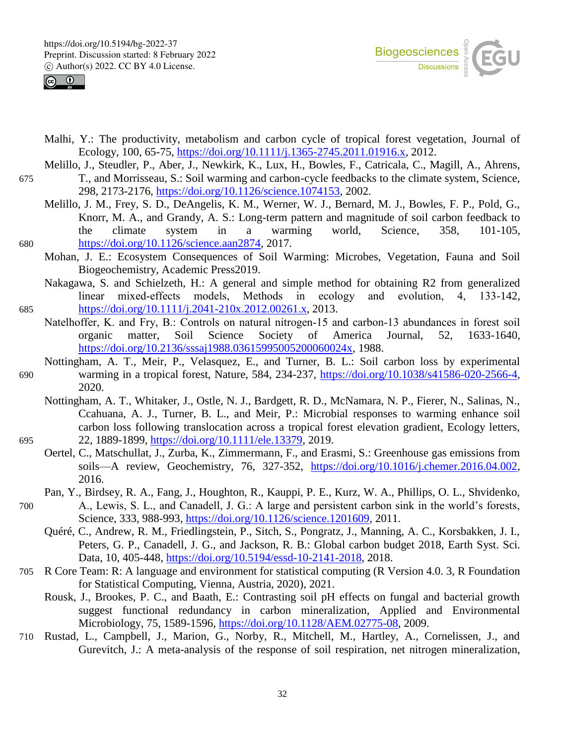



- Malhi, Y.: The productivity, metabolism and carbon cycle of tropical forest vegetation, Journal of Ecology, 100, 65-75, https://doi.org/10.1111/j.1365-2745.2011.01916.x, 2012.
- Melillo, J., Steudler, P., Aber, J., Newkirk, K., Lux, H., Bowles, F., Catricala, C., Magill, A., Ahrens, 675 T., and Morrisseau, S.: Soil warming and carbon-cycle feedbacks to the climate system, Science, 298, 2173-2176, https://doi.org/10.1126/science.1074153, 2002.
- Melillo, J. M., Frey, S. D., DeAngelis, K. M., Werner, W. J., Bernard, M. J., Bowles, F. P., Pold, G., Knorr, M. A., and Grandy, A. S.: Long-term pattern and magnitude of soil carbon feedback to the climate system in a warming world, Science, 358, 101-105, 680 https://doi.org/10.1126/science.aan2874, 2017.
	- Mohan, J. E.: Ecosystem Consequences of Soil Warming: Microbes, Vegetation, Fauna and Soil Biogeochemistry, Academic Press2019.
- Nakagawa, S. and Schielzeth, H.: A general and simple method for obtaining R2 from generalized linear mixed-effects models, Methods in ecology and evolution, 4, 133-142, 685 https://doi.org/10.1111/j.2041-210x.2012.00261.x, 2013.
- Natelhoffer, K. and Fry, B.: Controls on natural nitrogen‐15 and carbon‐13 abundances in forest soil organic matter, Soil Science Society of America Journal, 52, 1633-1640, https://doi.org/10.2136/sssaj1988.03615995005200060024x, 1988.
- Nottingham, A. T., Meir, P., Velasquez, E., and Turner, B. L.: Soil carbon loss by experimental 690 warming in a tropical forest, Nature, 584, 234-237, https://doi.org/10.1038/s41586-020-2566-4, 2020.
- Nottingham, A. T., Whitaker, J., Ostle, N. J., Bardgett, R. D., McNamara, N. P., Fierer, N., Salinas, N., Ccahuana, A. J., Turner, B. L., and Meir, P.: Microbial responses to warming enhance soil carbon loss following translocation across a tropical forest elevation gradient, Ecology letters, 695 22, 1889-1899, https://doi.org/10.1111/ele.13379, 2019.
	- Oertel, C., Matschullat, J., Zurba, K., Zimmermann, F., and Erasmi, S.: Greenhouse gas emissions from soils—A review, Geochemistry, 76, 327-352, https://doi.org/10.1016/j.chemer.2016.04.002, 2016.
	- Pan, Y., Birdsey, R. A., Fang, J., Houghton, R., Kauppi, P. E., Kurz, W. A., Phillips, O. L., Shvidenko,
- 700 A., Lewis, S. L., and Canadell, J. G.: A large and persistent carbon sink in the world's forests, Science, 333, 988-993, https://doi.org/10.1126/science.1201609, 2011.
	- Quéré, C., Andrew, R. M., Friedlingstein, P., Sitch, S., Pongratz, J., Manning, A. C., Korsbakken, J. I., Peters, G. P., Canadell, J. G., and Jackson, R. B.: Global carbon budget 2018, Earth Syst. Sci. Data, 10, 405-448, https://doi.org/10.5194/essd-10-2141-2018, 2018.
- 705 R Core Team: R: A language and environment for statistical computing (R Version 4.0. 3, R Foundation for Statistical Computing, Vienna, Austria, 2020), 2021.
	- Rousk, J., Brookes, P. C., and Baath, E.: Contrasting soil pH effects on fungal and bacterial growth suggest functional redundancy in carbon mineralization, Applied and Environmental Microbiology, 75, 1589-1596, https://doi.org/10.1128/AEM.02775-08, 2009.
- 710 Rustad, L., Campbell, J., Marion, G., Norby, R., Mitchell, M., Hartley, A., Cornelissen, J., and Gurevitch, J.: A meta-analysis of the response of soil respiration, net nitrogen mineralization,